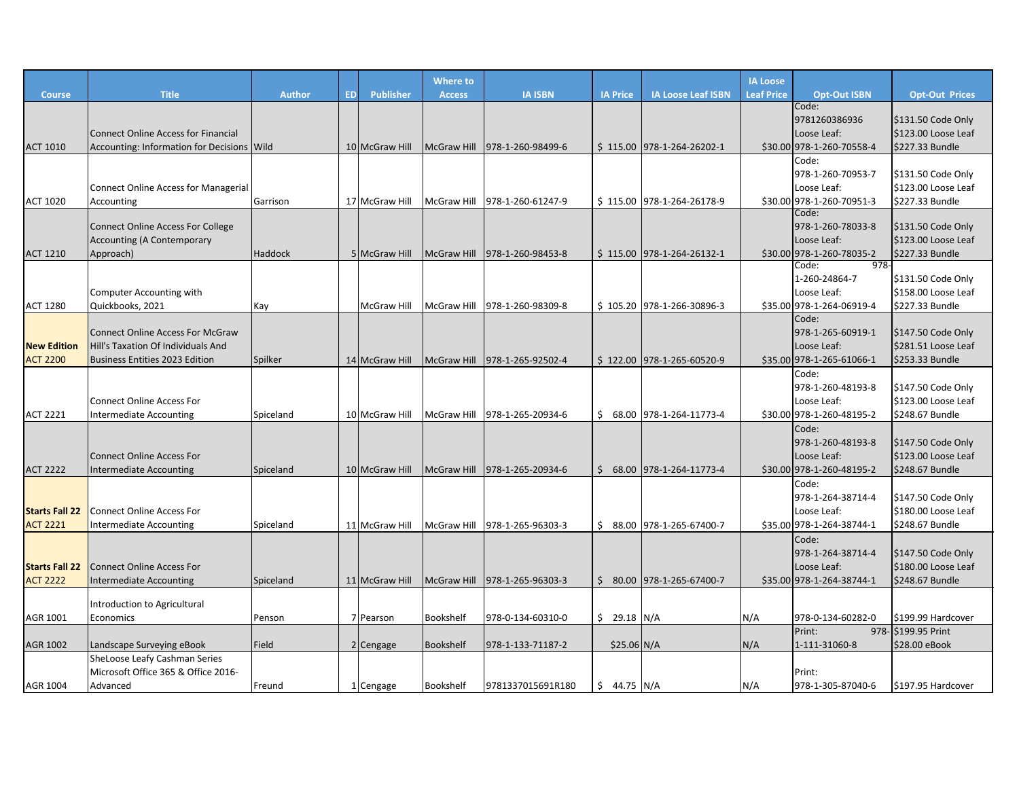|                       |                                             |               |           |                    | Where to           |                               |                 |                             | <b>IA Loose</b>   |                                    |                       |
|-----------------------|---------------------------------------------|---------------|-----------|--------------------|--------------------|-------------------------------|-----------------|-----------------------------|-------------------|------------------------------------|-----------------------|
| <b>Course</b>         | <b>Title</b>                                | <b>Author</b> | <b>ED</b> | <b>Publisher</b>   | <b>Access</b>      | <b>IA ISBN</b>                | <b>IA Price</b> | <b>IA Loose Leaf ISBN</b>   | <b>Leaf Price</b> | <b>Opt-Out ISBN</b>                | <b>Opt-Out Prices</b> |
|                       |                                             |               |           |                    |                    |                               |                 |                             |                   | Code:                              |                       |
|                       |                                             |               |           |                    |                    |                               |                 |                             |                   | 9781260386936                      | \$131.50 Code Only    |
|                       | <b>Connect Online Access for Financial</b>  |               |           |                    |                    |                               |                 |                             |                   | Loose Leaf:                        | \$123.00 Loose Leaf   |
| <b>ACT 1010</b>       | Accounting: Information for Decisions Wild  |               |           | 10 McGraw Hill     | <b>McGraw Hill</b> | 978-1-260-98499-6             |                 | \$115.00 978-1-264-26202-1  |                   | \$30.00 978-1-260-70558-4          | \$227.33 Bundle       |
|                       |                                             |               |           |                    |                    |                               |                 |                             |                   | Code:                              |                       |
|                       |                                             |               |           |                    |                    |                               |                 |                             |                   | 978-1-260-70953-7                  | \$131.50 Code Only    |
|                       | <b>Connect Online Access for Managerial</b> |               |           |                    |                    |                               |                 |                             |                   | Loose Leaf:                        | \$123.00 Loose Leaf   |
| <b>ACT 1020</b>       | Accounting                                  | Garrison      |           | 17 McGraw Hill     |                    | McGraw Hill 978-1-260-61247-9 |                 | \$115.00 978-1-264-26178-9  |                   | \$30.00 978-1-260-70951-3<br>Code: | \$227.33 Bundle       |
|                       | <b>Connect Online Access For College</b>    |               |           |                    |                    |                               |                 |                             |                   | 978-1-260-78033-8                  | $$131.50$ Code Only   |
|                       | <b>Accounting (A Contemporary</b>           |               |           |                    |                    |                               |                 |                             |                   | Loose Leaf:                        | \$123.00 Loose Leaf   |
| <b>ACT 1210</b>       | Approach)                                   | Haddock       |           | 5 McGraw Hill      | McGraw Hill        | 978-1-260-98453-8             |                 | $$115.00$ 978-1-264-26132-1 |                   | \$30.00 978-1-260-78035-2          | \$227.33 Bundle       |
|                       |                                             |               |           |                    |                    |                               |                 |                             |                   | $978 -$<br>Code:                   |                       |
|                       |                                             |               |           |                    |                    |                               |                 |                             |                   | 1-260-24864-7                      | \$131.50 Code Only    |
|                       | Computer Accounting with                    |               |           |                    |                    |                               |                 |                             |                   | Loose Leaf:                        | \$158.00 Loose Leaf   |
| <b>ACT 1280</b>       | Quickbooks, 2021                            | Kay           |           | <b>McGraw Hill</b> |                    | McGraw Hill 978-1-260-98309-8 |                 | \$105.20 978-1-266-30896-3  |                   | \$35.00 978-1-264-06919-4          | \$227.33 Bundle       |
|                       |                                             |               |           |                    |                    |                               |                 |                             |                   | Code:                              |                       |
|                       | <b>Connect Online Access For McGraw</b>     |               |           |                    |                    |                               |                 |                             |                   | 978-1-265-60919-1                  | \$147.50 Code Only    |
| <b>New Edition</b>    | Hill's Taxation Of Individuals And          |               |           |                    |                    |                               |                 |                             |                   | Loose Leaf:                        | \$281.51 Loose Leaf   |
| <b>ACT 2200</b>       | <b>Business Entities 2023 Edition</b>       | Spilker       |           | 14 McGraw Hill     |                    | McGraw Hill 978-1-265-92502-4 |                 | \$122.00 978-1-265-60520-9  |                   | \$35.00 978-1-265-61066-1          | \$253.33 Bundle       |
|                       |                                             |               |           |                    |                    |                               |                 |                             |                   | Code:                              |                       |
|                       |                                             |               |           |                    |                    |                               |                 |                             |                   | 978-1-260-48193-8                  | \$147.50 Code Only    |
|                       | <b>Connect Online Access For</b>            |               |           |                    |                    |                               |                 |                             |                   | Loose Leaf:                        | \$123.00 Loose Leaf   |
| <b>ACT 2221</b>       | <b>Intermediate Accounting</b>              | Spiceland     |           | 10 McGraw Hill     |                    | McGraw Hill 978-1-265-20934-6 |                 | $$68.00$ 978-1-264-11773-4  |                   | \$30.00 978-1-260-48195-2          | \$248.67 Bundle       |
|                       |                                             |               |           |                    |                    |                               |                 |                             |                   | Code:                              |                       |
|                       |                                             |               |           |                    |                    |                               |                 |                             |                   | 978-1-260-48193-8                  | \$147.50 Code Only    |
|                       | <b>Connect Online Access For</b>            |               |           |                    |                    |                               |                 |                             |                   | Loose Leaf:                        | \$123.00 Loose Leaf   |
| <b>ACT 2222</b>       | Intermediate Accounting                     | Spiceland     |           | 10 McGraw Hill     | <b>McGraw Hill</b> | 978-1-265-20934-6             | Ŝ.              | 68.00 978-1-264-11773-4     |                   | \$30.00 978-1-260-48195-2          | \$248.67 Bundle       |
|                       |                                             |               |           |                    |                    |                               |                 |                             |                   | Code:                              |                       |
|                       |                                             |               |           |                    |                    |                               |                 |                             |                   | 978-1-264-38714-4                  | \$147.50 Code Only    |
| <b>Starts Fall 22</b> | <b>Connect Online Access For</b>            |               |           |                    |                    |                               |                 |                             |                   | Loose Leaf:                        | \$180.00 Loose Leaf   |
| <b>ACT 2221</b>       | Intermediate Accounting                     | Spiceland     |           | 11 McGraw Hill     |                    | McGraw Hill 978-1-265-96303-3 |                 | \$ 88.00 978-1-265-67400-7  |                   | \$35.00 978-1-264-38744-1          | \$248.67 Bundle       |
|                       |                                             |               |           |                    |                    |                               |                 |                             |                   | Code:                              |                       |
|                       |                                             |               |           |                    |                    |                               |                 |                             |                   | 978-1-264-38714-4                  | \$147.50 Code Only    |
| <b>Starts Fall 22</b> | <b>Connect Online Access For</b>            |               |           |                    |                    |                               |                 |                             |                   | Loose Leaf:                        | \$180.00 Loose Leaf   |
| <b>ACT 2222</b>       | <b>Intermediate Accounting</b>              | Spiceland     |           | 11 McGraw Hill     |                    | McGraw Hill 978-1-265-96303-3 |                 | $$80.00$ 978-1-265-67400-7  |                   | \$35.00 978-1-264-38744-1          | \$248.67 Bundle       |
|                       | Introduction to Agricultural                |               |           |                    |                    |                               |                 |                             |                   |                                    |                       |
| AGR 1001              | Economics                                   | Penson        |           | 7 Pearson          | Bookshelf          | 978-0-134-60310-0             | $$29.18$ N/A    |                             | N/A               | 978-0-134-60282-0                  | \$199.99 Hardcover    |
|                       |                                             |               |           |                    |                    |                               |                 |                             |                   | Print:                             | 978- \$199.95 Print   |
| AGR 1002              | Landscape Surveying eBook                   | Field         |           | 2 Cengage          | Bookshelf          | 978-1-133-71187-2             |                 | $$25.06$ N/A                | N/A               | 1-111-31060-8                      | \$28.00 eBook         |
|                       | SheLoose Leafy Cashman Series               |               |           |                    |                    |                               |                 |                             |                   |                                    |                       |
|                       | Microsoft Office 365 & Office 2016-         |               |           |                    |                    |                               |                 |                             |                   | Print:                             |                       |
| AGR 1004              | Advanced                                    | Freund        |           | 1 Cengage          | Bookshelf          | 9781337015691R180             | $$44.75$ N/A    |                             | N/A               | 978-1-305-87040-6                  | \$197.95 Hardcover    |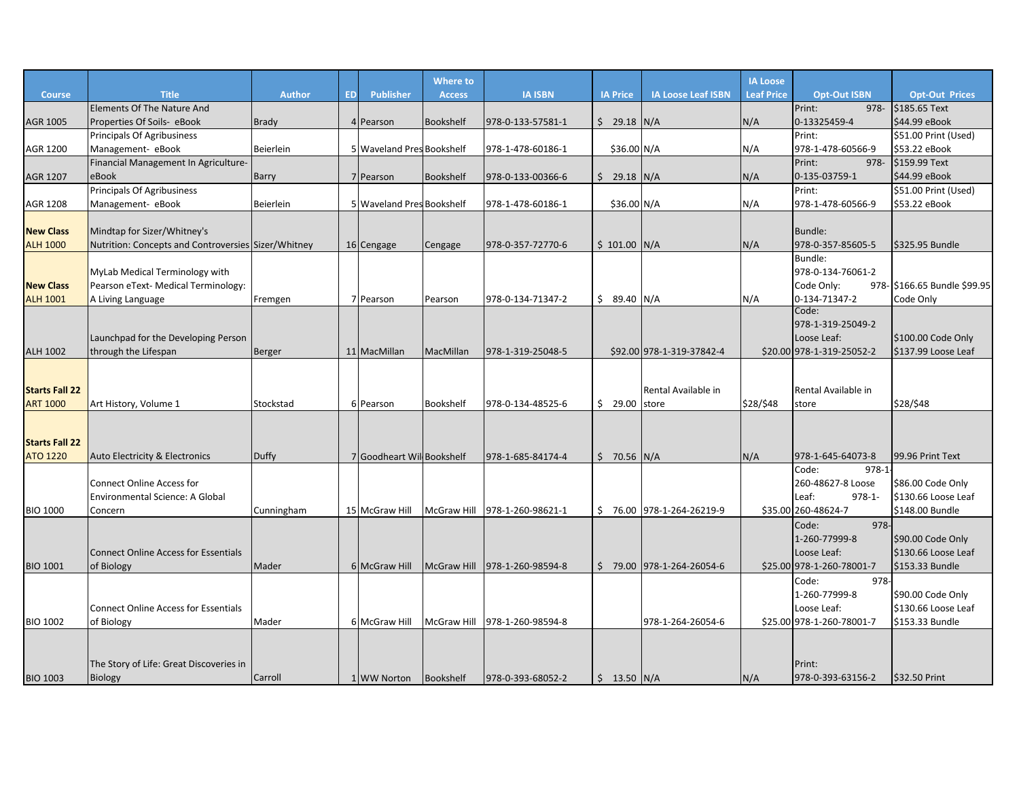|                       |                                                     |              |           |                            | <b>Where to</b>    |                   |                 |                           | <b>IA Loose</b>   |                           |                              |
|-----------------------|-----------------------------------------------------|--------------|-----------|----------------------------|--------------------|-------------------|-----------------|---------------------------|-------------------|---------------------------|------------------------------|
| <b>Course</b>         | <b>Title</b>                                        | Author       | <b>ED</b> | <b>Publisher</b>           | <b>Access</b>      | <b>IA ISBN</b>    | <b>IA Price</b> | <b>IA Loose Leaf ISBN</b> | <b>Leaf Price</b> | <b>Opt-Out ISBN</b>       | <b>Opt-Out Prices</b>        |
|                       | <b>Elements Of The Nature And</b>                   |              |           |                            |                    |                   |                 |                           |                   | Print:<br>$978 -$         | \$185.65 Text                |
| AGR 1005              | Properties Of Soils- eBook                          | Brady        |           | 4 Pearson                  | <b>Bookshelf</b>   | 978-0-133-57581-1 | $$29.18$ N/A    |                           | N/A               | 0-13325459-4              | \$44.99 eBook                |
|                       | <b>Principals Of Agribusiness</b>                   |              |           |                            |                    |                   |                 |                           |                   | Print:                    | \$51.00 Print (Used)         |
| AGR 1200              | Management- eBook                                   | Beierlein    |           | 5 Waveland Pres Bookshelf  |                    | 978-1-478-60186-1 | \$36.00 N/A     |                           | N/A               | 978-1-478-60566-9         | \$53.22 eBook                |
|                       | Financial Management In Agriculture-                |              |           |                            |                    |                   |                 |                           |                   | Print:<br>978-            | \$159.99 Text                |
| <b>AGR 1207</b>       | eBook                                               | <b>Barry</b> |           | 7 Pearson                  | Bookshelf          | 978-0-133-00366-6 | $$29.18$ N/A    |                           | N/A               | 0-135-03759-1             | \$44.99 eBook                |
|                       | <b>Principals Of Agribusiness</b>                   |              |           |                            |                    |                   |                 |                           |                   | Print:                    | \$51.00 Print (Used)         |
| AGR 1208              | Management- eBook                                   | Beierlein    |           | 5 Waveland Pres Bookshelf  |                    | 978-1-478-60186-1 | \$36.00 N/A     |                           | N/A               | 978-1-478-60566-9         | \$53.22 eBook                |
|                       |                                                     |              |           |                            |                    |                   |                 |                           |                   |                           |                              |
| <b>New Class</b>      | Mindtap for Sizer/Whitney's                         |              |           |                            |                    |                   |                 |                           |                   | Bundle:                   |                              |
| <b>ALH 1000</b>       | Nutrition: Concepts and Controversies Sizer/Whitney |              |           | 16 Cengage                 | Cengage            | 978-0-357-72770-6 | $$101.00$ N/A   |                           | N/A               | 978-0-357-85605-5         | <b>S325.95 Bundle</b>        |
|                       |                                                     |              |           |                            |                    |                   |                 |                           |                   | Bundle:                   |                              |
|                       | MyLab Medical Terminology with                      |              |           |                            |                    |                   |                 |                           |                   | 978-0-134-76061-2         |                              |
| <b>New Class</b>      | Pearson eText- Medical Terminology:                 |              |           |                            |                    |                   |                 |                           |                   | Code Only:                | 978- \$166.65 Bundle \$99.95 |
| <b>ALH 1001</b>       | A Living Language                                   | Fremgen      |           | 7 Pearson                  | Pearson            | 978-0-134-71347-2 | $$9.40$ N/A     |                           | N/A               | 0-134-71347-2             | Code Only                    |
|                       |                                                     |              |           |                            |                    |                   |                 |                           |                   | Code:                     |                              |
|                       |                                                     |              |           |                            |                    |                   |                 |                           |                   | 978-1-319-25049-2         |                              |
|                       | Launchpad for the Developing Person                 |              |           |                            |                    |                   |                 |                           |                   | Loose Leaf:               | \$100.00 Code Only           |
| <b>ALH 1002</b>       | through the Lifespan                                | Berger       |           | 11 MacMillan               | MacMillan          | 978-1-319-25048-5 |                 | \$92.00 978-1-319-37842-4 |                   | \$20.00 978-1-319-25052-2 | \$137.99 Loose Leaf          |
|                       |                                                     |              |           |                            |                    |                   |                 |                           |                   |                           |                              |
|                       |                                                     |              |           |                            |                    |                   |                 |                           |                   |                           |                              |
| <b>Starts Fall 22</b> |                                                     |              |           |                            |                    |                   |                 | Rental Available in       |                   | Rental Available in       |                              |
| <b>ART 1000</b>       | Art History, Volume 1                               | Stockstad    |           | 6 Pearson                  | Bookshelf          | 978-0-134-48525-6 | \$29.00         | store                     | \$28/\$48         | store                     | \$28/\$48                    |
|                       |                                                     |              |           |                            |                    |                   |                 |                           |                   |                           |                              |
|                       |                                                     |              |           |                            |                    |                   |                 |                           |                   |                           |                              |
| <b>Starts Fall 22</b> |                                                     |              |           |                            |                    |                   |                 |                           |                   |                           |                              |
| <b>ATO 1220</b>       | Auto Electricity & Electronics                      | Duffy        |           | 7 Goodheart Will Bookshelf |                    | 978-1-685-84174-4 | $$70.56$ N/A    |                           | N/A               | 978-1-645-64073-8         | 99.96 Print Text             |
|                       |                                                     |              |           |                            |                    |                   |                 |                           |                   | $978-1$<br>Code:          |                              |
|                       | <b>Connect Online Access for</b>                    |              |           |                            |                    |                   |                 |                           |                   | 260-48627-8 Loose         | \$86.00 Code Only            |
|                       | Environmental Science: A Global                     |              |           |                            |                    |                   |                 |                           |                   | Leaf:<br>$978 - 1 -$      | \$130.66 Loose Leaf          |
| <b>BIO 1000</b>       | Concern                                             | Cunningham   |           | 15 McGraw Hill             | McGraw Hill        | 978-1-260-98621-1 |                 | \$76.00 978-1-264-26219-9 |                   | \$35.00 260-48624-7       | \$148.00 Bundle              |
|                       |                                                     |              |           |                            |                    |                   |                 |                           |                   | Code:<br>978-             |                              |
|                       |                                                     |              |           |                            |                    |                   |                 |                           |                   | 1-260-77999-8             | \$90.00 Code Only            |
|                       | <b>Connect Online Access for Essentials</b>         |              |           |                            |                    |                   |                 |                           |                   | Loose Leaf:               | \$130.66 Loose Leaf          |
| <b>BIO 1001</b>       | of Biology                                          | Mader        |           | 6 McGraw Hill              | <b>McGraw Hill</b> | 978-1-260-98594-8 |                 | \$79.00 978-1-264-26054-6 |                   | \$25.00 978-1-260-78001-7 | \$153.33 Bundle              |
|                       |                                                     |              |           |                            |                    |                   |                 |                           |                   | 978-<br>Code:             |                              |
|                       |                                                     |              |           |                            |                    |                   |                 |                           |                   | 1-260-77999-8             | \$90.00 Code Only            |
|                       | <b>Connect Online Access for Essentials</b>         |              |           |                            |                    |                   |                 |                           |                   | Loose Leaf:               | \$130.66 Loose Leaf          |
| <b>BIO 1002</b>       | of Biology                                          | Mader        |           | 6 McGraw Hill              | <b>McGraw Hill</b> | 978-1-260-98594-8 |                 | 978-1-264-26054-6         |                   | \$25.00 978-1-260-78001-7 | \$153.33 Bundle              |
|                       |                                                     |              |           |                            |                    |                   |                 |                           |                   |                           |                              |
|                       |                                                     |              |           |                            |                    |                   |                 |                           |                   |                           |                              |
|                       | The Story of Life: Great Discoveries in             |              |           |                            |                    |                   |                 |                           |                   | Print:                    |                              |
| <b>BIO 1003</b>       | <b>Biology</b>                                      | Carroll      |           | 1 WW Norton                | Bookshelf          | 978-0-393-68052-2 | $$13.50$ N/A    |                           | N/A               | 978-0-393-63156-2         | \$32.50 Print                |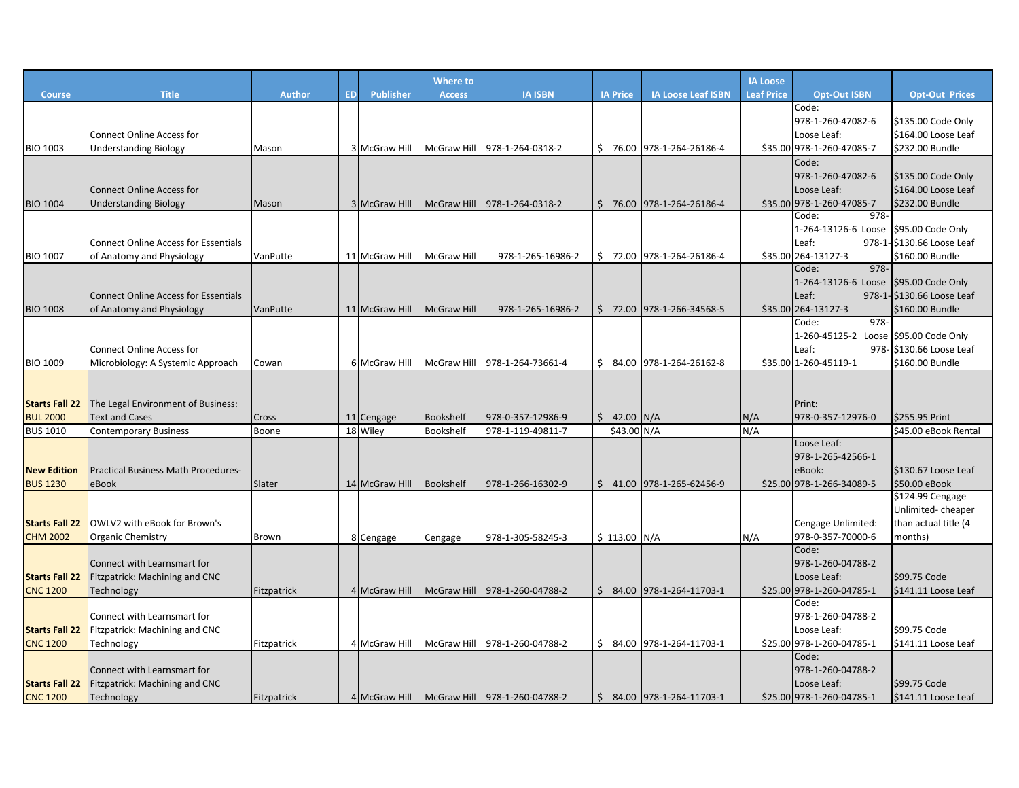|                       |                                             |               |           |                | <b>Where to</b>    |                               |    |                 |                            | <b>IA Loose</b>   |                                       |                            |
|-----------------------|---------------------------------------------|---------------|-----------|----------------|--------------------|-------------------------------|----|-----------------|----------------------------|-------------------|---------------------------------------|----------------------------|
| <b>Course</b>         | <b>Title</b>                                | <b>Author</b> | <b>ED</b> | Publisher      | <b>Access</b>      | <b>IA ISBN</b>                |    | <b>IA Price</b> | <b>IA Loose Leaf ISBN</b>  | <b>Leaf Price</b> | <b>Opt-Out ISBN</b>                   | <b>Opt-Out Prices</b>      |
|                       |                                             |               |           |                |                    |                               |    |                 |                            |                   | Code:                                 |                            |
|                       |                                             |               |           |                |                    |                               |    |                 |                            |                   | 978-1-260-47082-6                     | \$135.00 Code Only         |
|                       | <b>Connect Online Access for</b>            |               |           |                |                    |                               |    |                 |                            |                   | Loose Leaf:                           | \$164.00 Loose Leaf        |
| <b>BIO 1003</b>       | <b>Understanding Biology</b>                | Mason         |           | 3 McGraw Hill  | <b>McGraw Hill</b> | 978-1-264-0318-2              |    |                 | \$76.00 978-1-264-26186-4  |                   | \$35.00 978-1-260-47085-7             | \$232.00 Bundle            |
|                       |                                             |               |           |                |                    |                               |    |                 |                            |                   | Code:                                 |                            |
|                       |                                             |               |           |                |                    |                               |    |                 |                            |                   | 978-1-260-47082-6                     | \$135.00 Code Only         |
|                       | <b>Connect Online Access for</b>            |               |           |                |                    |                               |    |                 |                            |                   | Loose Leaf:                           | \$164.00 Loose Leaf        |
| <b>BIO 1004</b>       | <b>Understanding Biology</b>                | Mason         |           | 3 McGraw Hill  |                    | McGraw Hill 978-1-264-0318-2  |    |                 | $$76.00$ 978-1-264-26186-4 |                   | \$35.00 978-1-260-47085-7             | \$232.00 Bundle            |
|                       |                                             |               |           |                |                    |                               |    |                 |                            |                   | 978-<br>Code:                         |                            |
|                       |                                             |               |           |                |                    |                               |    |                 |                            |                   | 1-264-13126-6 Loose \$95.00 Code Only |                            |
|                       | <b>Connect Online Access for Essentials</b> |               |           |                |                    |                               |    |                 |                            |                   | Leaf:                                 | 978-1-\$130.66 Loose Leaf  |
| <b>BIO 1007</b>       | of Anatomy and Physiology                   | VanPutte      |           | 11 McGraw Hill | <b>McGraw Hill</b> | 978-1-265-16986-2             | Ŝ. |                 | 72.00 978-1-264-26186-4    |                   | \$35.00 264-13127-3<br>978-<br>Code:  | \$160.00 Bundle            |
|                       |                                             |               |           |                |                    |                               |    |                 |                            |                   | 1-264-13126-6 Loose                   | \$95.00 Code Only          |
|                       | <b>Connect Online Access for Essentials</b> |               |           |                |                    |                               |    |                 |                            |                   | Leaf:                                 | 978-1- \$130.66 Loose Leaf |
| <b>BIO 1008</b>       | of Anatomy and Physiology                   | VanPutte      |           | 11 McGraw Hill | <b>McGraw Hill</b> | 978-1-265-16986-2             |    |                 | $$72.00$ 978-1-266-34568-5 |                   | \$35.00 264-13127-3                   | \$160.00 Bundle            |
|                       |                                             |               |           |                |                    |                               |    |                 |                            |                   | 978-<br>Code:                         |                            |
|                       |                                             |               |           |                |                    |                               |    |                 |                            |                   | 1-260-45125-2 Loose \$95.00 Code Only |                            |
|                       | <b>Connect Online Access for</b>            |               |           |                |                    |                               |    |                 |                            |                   | Leaf:                                 | 978- \$130.66 Loose Leaf   |
| <b>BIO 1009</b>       | Microbiology: A Systemic Approach           | Cowan         |           | 6 McGraw Hill  | McGraw Hill        | 978-1-264-73661-4             | Ś. |                 | 84.00 978-1-264-26162-8    |                   | \$35.00 1-260-45119-1                 | \$160.00 Bundle            |
|                       |                                             |               |           |                |                    |                               |    |                 |                            |                   |                                       |                            |
|                       |                                             |               |           |                |                    |                               |    |                 |                            |                   |                                       |                            |
| <b>Starts Fall 22</b> | The Legal Environment of Business:          |               |           |                |                    |                               |    |                 |                            |                   | Print:                                |                            |
| <b>BUL 2000</b>       | <b>Text and Cases</b>                       | Cross         |           | 11 Cengage     | Bookshelf          | 978-0-357-12986-9             |    | \$42.00         | N/A                        | N/A               | 978-0-357-12976-0                     | \$255.95 Print             |
| <b>BUS 1010</b>       | <b>Contemporary Business</b>                | Boone         |           | 18 Wiley       | Bookshelf          | 978-1-119-49811-7             |    | \$43.00 N/A     |                            | N/A               |                                       | \$45.00 eBook Rental       |
|                       |                                             |               |           |                |                    |                               |    |                 |                            |                   | Loose Leaf:                           |                            |
|                       |                                             |               |           |                |                    |                               |    |                 |                            |                   | 978-1-265-42566-1                     |                            |
| <b>New Edition</b>    | <b>Practical Business Math Procedures-</b>  |               |           |                |                    |                               |    |                 |                            |                   | eBook:                                | \$130.67 Loose Leaf        |
| <b>BUS 1230</b>       | eBook                                       | Slater        |           | 14 McGraw Hill | Bookshelf          | 978-1-266-16302-9             |    |                 | $$41.00$ 978-1-265-62456-9 |                   | \$25.00 978-1-266-34089-5             | \$50.00 eBook              |
|                       |                                             |               |           |                |                    |                               |    |                 |                            |                   |                                       | \$124.99 Cengage           |
|                       |                                             |               |           |                |                    |                               |    |                 |                            |                   |                                       | Unlimited-cheaper          |
| <b>Starts Fall 22</b> | OWLV2 with eBook for Brown's                |               |           |                |                    |                               |    |                 |                            |                   | Cengage Unlimited:                    | than actual title (4       |
| <b>CHM 2002</b>       | <b>Organic Chemistry</b>                    | Brown         |           | 8 Cengage      | Cengage            | 978-1-305-58245-3             |    | \$113.00        | N/A                        | N/A               | 978-0-357-70000-6<br>Code:            | months)                    |
|                       | Connect with Learnsmart for                 |               |           |                |                    |                               |    |                 |                            |                   | 978-1-260-04788-2                     |                            |
| <b>Starts Fall 22</b> | Fitzpatrick: Machining and CNC              |               |           |                |                    |                               |    |                 |                            |                   | Loose Leaf:                           | \$99.75 Code               |
| <b>CNC 1200</b>       | Technology                                  | Fitzpatrick   |           | 4 McGraw Hill  |                    | McGraw Hill 978-1-260-04788-2 |    |                 | \$ 84.00 978-1-264-11703-1 |                   | \$25.00 978-1-260-04785-1             | \$141.11 Loose Leaf        |
|                       |                                             |               |           |                |                    |                               |    |                 |                            |                   | Code:                                 |                            |
|                       | Connect with Learnsmart for                 |               |           |                |                    |                               |    |                 |                            |                   | 978-1-260-04788-2                     |                            |
| <b>Starts Fall 22</b> | Fitzpatrick: Machining and CNC              |               |           |                |                    |                               |    |                 |                            |                   | Loose Leaf:                           | \$99.75 Code               |
| <b>CNC 1200</b>       | Technology                                  | Fitzpatrick   |           | 4 McGraw Hill  |                    | McGraw Hill 978-1-260-04788-2 |    |                 | \$ 84.00 978-1-264-11703-1 |                   | \$25.00 978-1-260-04785-1             | \$141.11 Loose Leaf        |
|                       |                                             |               |           |                |                    |                               |    |                 |                            |                   | Code:                                 |                            |
|                       | Connect with Learnsmart for                 |               |           |                |                    |                               |    |                 |                            |                   | 978-1-260-04788-2                     |                            |
| <b>Starts Fall 22</b> | Fitzpatrick: Machining and CNC              |               |           |                |                    |                               |    |                 |                            |                   | Loose Leaf:                           | \$99.75 Code               |
| <b>CNC 1200</b>       | Technology                                  | Fitzpatrick   |           | 4 McGraw Hill  |                    | McGraw Hill 978-1-260-04788-2 | \$ |                 | 84.00 978-1-264-11703-1    |                   | \$25.00 978-1-260-04785-1             | \$141.11 Loose Leaf        |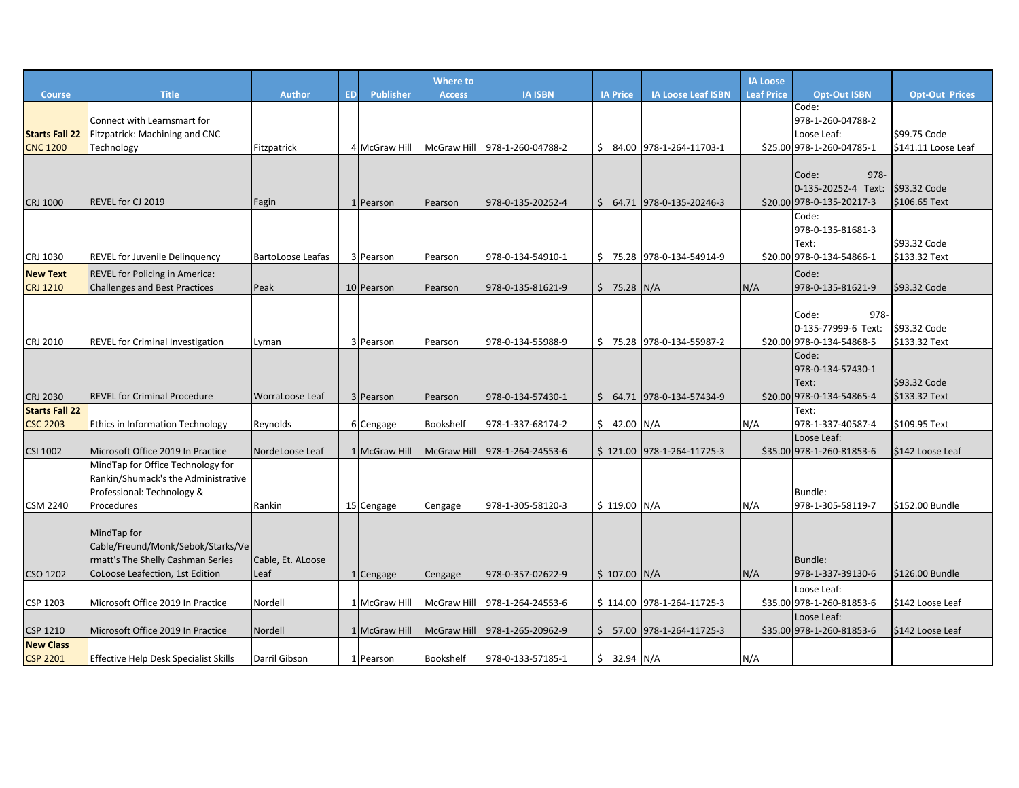|                                          |                                              |                          |                               | <b>Where to</b>    |                   |                 |                            | <b>IA Loose</b>   |                                          |                                     |
|------------------------------------------|----------------------------------------------|--------------------------|-------------------------------|--------------------|-------------------|-----------------|----------------------------|-------------------|------------------------------------------|-------------------------------------|
| <b>Course</b>                            | <b>Title</b>                                 | <b>Author</b>            | <b>ED</b><br><b>Publisher</b> | <b>Access</b>      | <b>IA ISBN</b>    | <b>IA Price</b> | <b>IA Loose Leaf ISBN</b>  | <b>Leaf Price</b> | <b>Opt-Out ISBN</b>                      | <b>Opt-Out Prices</b>               |
|                                          |                                              |                          |                               |                    |                   |                 |                            |                   | Code:                                    |                                     |
|                                          | Connect with Learnsmart for                  |                          |                               |                    |                   |                 |                            |                   | 978-1-260-04788-2                        |                                     |
| <b>Starts Fall 22</b><br><b>CNC 1200</b> | Fitzpatrick: Machining and CNC               | Fitzpatrick              | 4 McGraw Hill                 | <b>McGraw Hill</b> | 978-1-260-04788-2 |                 | $$84.00$ 978-1-264-11703-1 |                   | Loose Leaf:<br>\$25.00 978-1-260-04785-1 | \$99.75 Code<br>\$141.11 Loose Leaf |
|                                          | Technology                                   |                          |                               |                    |                   |                 |                            |                   |                                          |                                     |
|                                          |                                              |                          |                               |                    |                   |                 |                            |                   | 978-<br>Code:                            |                                     |
|                                          |                                              |                          |                               |                    |                   |                 |                            |                   | 0-135-20252-4 Text:                      | \$93.32 Code                        |
| CRJ 1000                                 | REVEL for CJ 2019                            | Fagin                    | 1 Pearson                     | Pearson            | 978-0-135-20252-4 |                 | $$64.71$ 978-0-135-20246-3 |                   | \$20.00 978-0-135-20217-3                | \$106.65 Text                       |
|                                          |                                              |                          |                               |                    |                   |                 |                            |                   | Code:                                    |                                     |
|                                          |                                              |                          |                               |                    |                   |                 |                            |                   | 978-0-135-81681-3                        |                                     |
|                                          |                                              |                          |                               |                    |                   |                 |                            |                   | Text:                                    | \$93.32 Code                        |
| CRJ 1030                                 | <b>REVEL for Juvenile Delinguency</b>        | <b>BartoLoose Leafas</b> | 3 Pearson                     | Pearson            | 978-0-134-54910-1 |                 | $$75.28$ 978-0-134-54914-9 |                   | \$20.00 978-0-134-54866-1                | \$133.32 Text                       |
| <b>New Text</b>                          | <b>REVEL for Policing in America:</b>        |                          |                               |                    |                   |                 |                            |                   | Code:                                    |                                     |
| <b>CRJ 1210</b>                          | <b>Challenges and Best Practices</b>         | Peak                     | 10 Pearson                    | Pearson            | 978-0-135-81621-9 | $$75.28$ N/A    |                            | N/A               | 978-0-135-81621-9                        | \$93.32 Code                        |
|                                          |                                              |                          |                               |                    |                   |                 |                            |                   |                                          |                                     |
|                                          |                                              |                          |                               |                    |                   |                 |                            |                   | 978-<br>Code:                            |                                     |
|                                          |                                              |                          |                               |                    |                   |                 |                            |                   | 0-135-77999-6 Text:                      | \$93.32 Code                        |
| CRJ 2010                                 | REVEL for Criminal Investigation             | Lyman                    | 3 Pearson                     | Pearson            | 978-0-134-55988-9 |                 | $$75.28$ 978-0-134-55987-2 |                   | \$20.00 978-0-134-54868-5                | \$133.32 Text                       |
|                                          |                                              |                          |                               |                    |                   |                 |                            |                   | Code:<br>978-0-134-57430-1               |                                     |
|                                          |                                              |                          |                               |                    |                   |                 |                            |                   | Text:                                    | \$93.32 Code                        |
| <b>CRJ 2030</b>                          | <b>REVEL for Criminal Procedure</b>          | WorraLoose Leaf          | 3 Pearson                     | Pearson            | 978-0-134-57430-1 |                 | $$64.71$ 978-0-134-57434-9 |                   | \$20.00 978-0-134-54865-4                | \$133.32 Text                       |
| <b>Starts Fall 22</b>                    |                                              |                          |                               |                    |                   |                 |                            |                   | Text:                                    |                                     |
| <b>CSC 2203</b>                          | Ethics in Information Technology             | Reynolds                 | 6 Cengage                     | Bookshelf          | 978-1-337-68174-2 | $$42.00$ N/A    |                            | N/A               | 978-1-337-40587-4                        | \$109.95 Text                       |
|                                          |                                              |                          |                               |                    |                   |                 |                            |                   | Loose Leaf:                              |                                     |
| <b>CSI 1002</b>                          | Microsoft Office 2019 In Practice            | NordeLoose Leaf          | 1 McGraw Hill                 | <b>McGraw Hill</b> | 978-1-264-24553-6 |                 | \$121.00 978-1-264-11725-3 |                   | \$35.00 978-1-260-81853-6                | \$142 Loose Leaf                    |
|                                          | MindTap for Office Technology for            |                          |                               |                    |                   |                 |                            |                   |                                          |                                     |
|                                          | Rankin/Shumack's the Administrative          |                          |                               |                    |                   |                 |                            |                   |                                          |                                     |
|                                          | Professional: Technology &                   |                          |                               |                    |                   |                 |                            |                   | Bundle:                                  |                                     |
| <b>CSM 2240</b>                          | Procedures                                   | Rankin                   | 15 Cengage                    | Cengage            | 978-1-305-58120-3 | $$119.00$ N/A   |                            | N/A               | 978-1-305-58119-7                        | \$152.00 Bundle                     |
|                                          | MindTap for                                  |                          |                               |                    |                   |                 |                            |                   |                                          |                                     |
|                                          | Cable/Freund/Monk/Sebok/Starks/Ve            |                          |                               |                    |                   |                 |                            |                   |                                          |                                     |
|                                          | rmatt's The Shelly Cashman Series            | Cable, Et. ALoose        |                               |                    |                   |                 |                            |                   | Bundle:                                  |                                     |
| CSO 1202                                 | CoLoose Leafection, 1st Edition              | Leaf                     | 1 Cengage                     | Cengage            | 978-0-357-02622-9 | $$107.00$ N/A   |                            | N/A               | 978-1-337-39130-6                        | \$126.00 Bundle                     |
|                                          |                                              |                          |                               |                    |                   |                 |                            |                   | Loose Leaf:                              |                                     |
| CSP 1203                                 | Microsoft Office 2019 In Practice            | Nordell                  | 1 McGraw Hill                 | McGraw Hill        | 978-1-264-24553-6 |                 | \$114.00 978-1-264-11725-3 |                   | \$35.00 978-1-260-81853-6                | \$142 Loose Leaf                    |
|                                          |                                              |                          |                               |                    |                   |                 |                            |                   | Loose Leaf:                              |                                     |
| <b>CSP 1210</b>                          | Microsoft Office 2019 In Practice            | Nordell                  | 1 McGraw Hill                 | <b>McGraw Hill</b> | 978-1-265-20962-9 |                 | $$57.00$ 978-1-264-11725-3 |                   | \$35.00 978-1-260-81853-6                | \$142 Loose Leaf                    |
| <b>New Class</b>                         |                                              |                          |                               |                    |                   |                 |                            |                   |                                          |                                     |
| <b>CSP 2201</b>                          | <b>Effective Help Desk Specialist Skills</b> | Darril Gibson            | 1 Pearson                     | <b>Bookshelf</b>   | 978-0-133-57185-1 | $$32.94$ N/A    |                            | N/A               |                                          |                                     |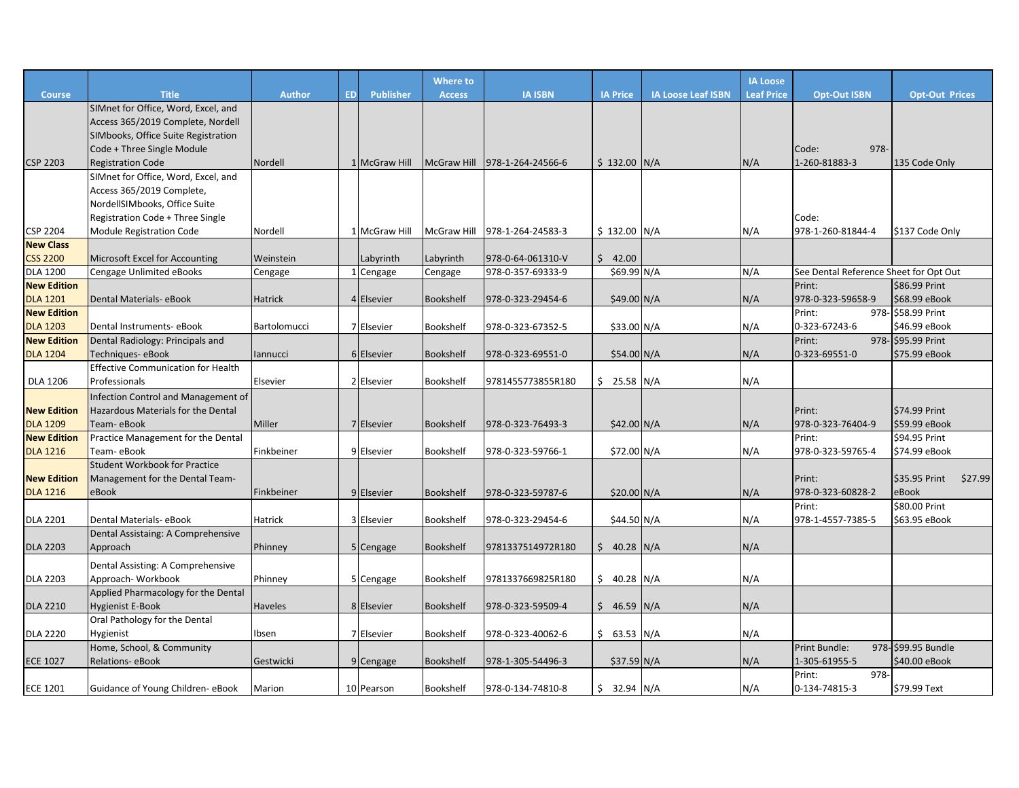|                    |                                           |                |           |                  | Where to           |                   |                 |                           | <b>IA Loose</b>   |                                        |                                |
|--------------------|-------------------------------------------|----------------|-----------|------------------|--------------------|-------------------|-----------------|---------------------------|-------------------|----------------------------------------|--------------------------------|
| <b>Course</b>      | <b>Title</b>                              | <b>Author</b>  | <b>ED</b> | <b>Publisher</b> | <b>Access</b>      | <b>IA ISBN</b>    | <b>IA Price</b> | <b>IA Loose Leaf ISBN</b> | <b>Leaf Price</b> | <b>Opt-Out ISBN</b>                    | <b>Opt-Out Prices</b>          |
|                    | SIMnet for Office, Word, Excel, and       |                |           |                  |                    |                   |                 |                           |                   |                                        |                                |
|                    | Access 365/2019 Complete, Nordell         |                |           |                  |                    |                   |                 |                           |                   |                                        |                                |
|                    | SIMbooks, Office Suite Registration       |                |           |                  |                    |                   |                 |                           |                   |                                        |                                |
|                    | Code + Three Single Module                |                |           |                  |                    |                   |                 |                           |                   | 978-<br>Code:                          |                                |
| <b>CSP 2203</b>    | <b>Registration Code</b>                  | Nordell        |           | 1 McGraw Hill    | <b>McGraw Hill</b> | 978-1-264-24566-6 | $$132.00$ N/A   |                           | N/A               | 1-260-81883-3                          | 135 Code Only                  |
|                    | SIMnet for Office, Word, Excel, and       |                |           |                  |                    |                   |                 |                           |                   |                                        |                                |
|                    | Access 365/2019 Complete,                 |                |           |                  |                    |                   |                 |                           |                   |                                        |                                |
|                    | NordellSIMbooks, Office Suite             |                |           |                  |                    |                   |                 |                           |                   |                                        |                                |
|                    | Registration Code + Three Single          |                |           |                  |                    |                   |                 |                           |                   | Code:                                  |                                |
| <b>CSP 2204</b>    | <b>Module Registration Code</b>           | Nordell        |           | 1 McGraw Hill    | McGraw Hill        | 978-1-264-24583-3 | $$132.00$ N/A   |                           | N/A               | 978-1-260-81844-4                      | \$137 Code Only                |
| <b>New Class</b>   |                                           |                |           |                  |                    |                   |                 |                           |                   |                                        |                                |
| <b>CSS 2200</b>    | Microsoft Excel for Accounting            | Weinstein      |           | Labyrinth        | Labyrinth          | 978-0-64-061310-V | \$42.00         |                           |                   |                                        |                                |
| <b>DLA 1200</b>    | Cengage Unlimited eBooks                  | Cengage        |           | 1 Cengage        | Cengage            | 978-0-357-69333-9 | \$69.99 N/A     |                           | N/A               | See Dental Reference Sheet for Opt Out |                                |
| <b>New Edition</b> |                                           |                |           |                  |                    |                   |                 |                           |                   | Print:                                 | \$86.99 Print                  |
| <b>DLA 1201</b>    | Dental Materials- eBook                   | Hatrick        |           | 4 Elsevier       | Bookshelf          | 978-0-323-29454-6 | $$49.00\,N/A$   |                           | N/A               | 978-0-323-59658-9                      | \$68.99 eBook                  |
| <b>New Edition</b> |                                           |                |           |                  |                    |                   |                 |                           |                   | Print:                                 | 978- \$58.99 Print             |
| <b>DLA 1203</b>    | Dental Instruments- eBook                 | Bartolomucci   |           | 7 Elsevier       | Bookshelf          | 978-0-323-67352-5 | \$33.00 N/A     |                           | N/A               | 0-323-67243-6                          | \$46.99 eBook                  |
| <b>New Edition</b> | Dental Radiology: Principals and          |                |           |                  |                    |                   |                 |                           |                   | Print:                                 | 978- \$95.99 Print             |
| <b>DLA 1204</b>    | Techniques-eBook                          | lannucci       |           | 6 Elsevier       | Bookshelf          | 978-0-323-69551-0 | \$54.00 N/A     |                           | N/A               | 0-323-69551-0                          | \$75.99 eBook                  |
|                    | <b>Effective Communication for Health</b> |                |           |                  |                    |                   |                 |                           |                   |                                        |                                |
| <b>DLA 1206</b>    | Professionals                             | Elsevier       |           | 2 Elsevier       | Bookshelf          | 9781455773855R180 | $$25.58$ N/A    |                           | N/A               |                                        |                                |
|                    | Infection Control and Management of       |                |           |                  |                    |                   |                 |                           |                   |                                        |                                |
| <b>New Edition</b> | Hazardous Materials for the Dental        |                |           |                  |                    |                   |                 |                           |                   | Print:                                 | \$74.99 Print                  |
| <b>DLA 1209</b>    | Team-eBook                                | Miller         |           | 7 Elsevier       | Bookshelf          | 978-0-323-76493-3 | \$42.00 N/A     |                           | N/A               | 978-0-323-76404-9                      | \$59.99 eBook                  |
| <b>New Edition</b> | Practice Management for the Dental        |                |           |                  |                    |                   |                 |                           |                   | Print:                                 | \$94.95 Print                  |
| <b>DLA 1216</b>    | Team- eBook                               | Finkbeiner     |           | 9 Elsevier       | Bookshelf          | 978-0-323-59766-1 | \$72.00 N/A     |                           | N/A               | 978-0-323-59765-4                      | \$74.99 eBook                  |
|                    | <b>Student Workbook for Practice</b>      |                |           |                  |                    |                   |                 |                           |                   |                                        |                                |
| <b>New Edition</b> | Management for the Dental Team-           |                |           |                  |                    |                   |                 |                           |                   | Print:                                 | <b>S35.95 Print</b><br>\$27.99 |
| <b>DLA 1216</b>    | eBook                                     | Finkbeiner     |           | 9 Elsevier       | Bookshelf          | 978-0-323-59787-6 | \$20.00 N/A     |                           | N/A               | 978-0-323-60828-2                      | eBook                          |
|                    |                                           |                |           |                  |                    |                   |                 |                           |                   | Print:                                 | \$80.00 Print                  |
| <b>DLA 2201</b>    | Dental Materials- eBook                   | Hatrick        |           | 3 Elsevier       | Bookshelf          | 978-0-323-29454-6 | \$44.50 N/A     |                           | N/A               | 978-1-4557-7385-5                      | \$63.95 eBook                  |
|                    | Dental Assistaing: A Comprehensive        |                |           |                  |                    |                   |                 |                           |                   |                                        |                                |
| <b>DLA 2203</b>    | Approach                                  | Phinney        |           | 5 Cengage        | <b>Bookshelf</b>   | 9781337514972R180 | $$40.28$ N/A    |                           | N/A               |                                        |                                |
|                    | Dental Assisting: A Comprehensive         |                |           |                  |                    |                   |                 |                           |                   |                                        |                                |
| <b>DLA 2203</b>    | Approach-Workbook                         | Phinney        |           | 5 Cengage        | Bookshelf          | 9781337669825R180 | $$40.28$ N/A    |                           | N/A               |                                        |                                |
|                    | Applied Pharmacology for the Dental       |                |           |                  |                    |                   |                 |                           |                   |                                        |                                |
| <b>DLA 2210</b>    | Hygienist E-Book                          | <b>Haveles</b> |           | 8 Elsevier       | Bookshelf          | 978-0-323-59509-4 | $$46.59$ N/A    |                           | N/A               |                                        |                                |
|                    | Oral Pathology for the Dental             |                |           |                  |                    |                   |                 |                           |                   |                                        |                                |
| <b>DLA 2220</b>    | Hygienist                                 | Ibsen          |           | 7 Elsevier       | Bookshelf          | 978-0-323-40062-6 | $$63.53$ N/A    |                           | N/A               |                                        |                                |
|                    | Home, School, & Community                 |                |           |                  |                    |                   |                 |                           |                   | Print Bundle:                          | 978- \$99.95 Bundle            |
| <b>ECE 1027</b>    | Relations- eBook                          | Gestwicki      |           | 9 Cengage        | Bookshelf          | 978-1-305-54496-3 | \$37.59 N/A     |                           | N/A               | 1-305-61955-5                          | \$40.00 eBook                  |
|                    |                                           |                |           |                  |                    |                   |                 |                           |                   | 978-<br>Print:                         |                                |
| <b>ECE 1201</b>    | Guidance of Young Children-eBook          | Marion         |           | 10 Pearson       | Bookshelf          | 978-0-134-74810-8 | $$32.94$ N/A    |                           | N/A               | 0-134-74815-3                          | \$79.99 Text                   |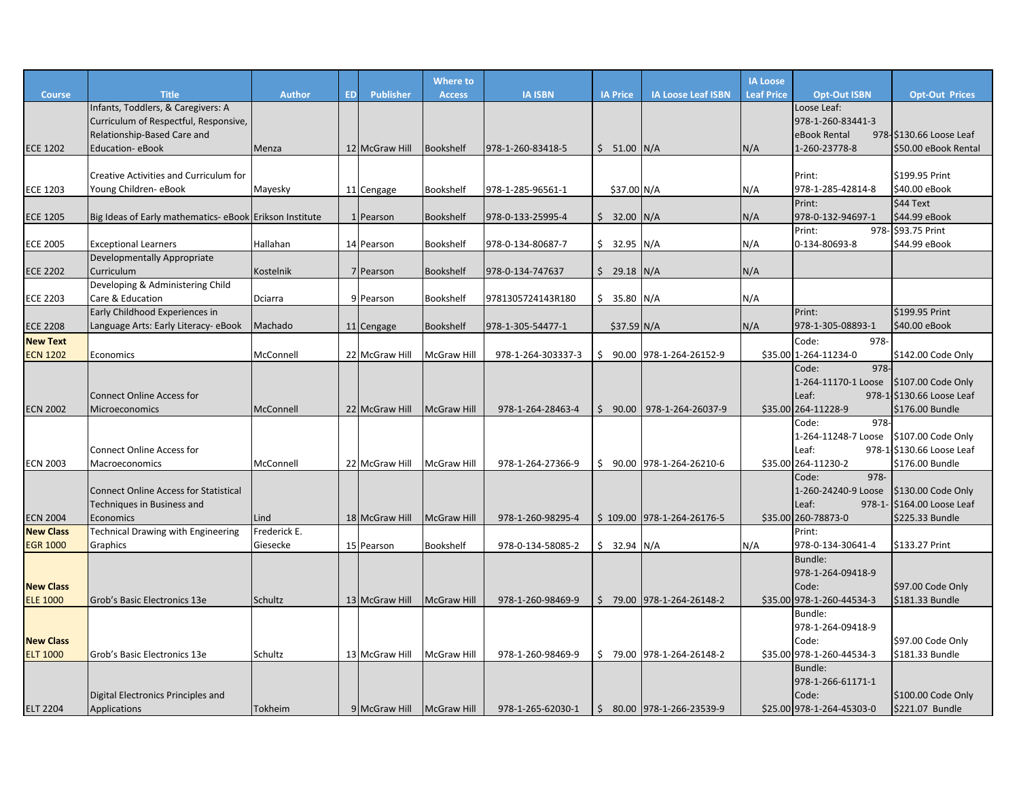|                                     |                                                        |                      |           |                  | <b>Where to</b>    |                    |                 |                              | <b>IA Loose</b>   |                               |                                     |
|-------------------------------------|--------------------------------------------------------|----------------------|-----------|------------------|--------------------|--------------------|-----------------|------------------------------|-------------------|-------------------------------|-------------------------------------|
| <b>Course</b>                       | <b>Title</b>                                           | <b>Author</b>        | <b>ED</b> | <b>Publisher</b> | <b>Access</b>      | <b>IA ISBN</b>     | <b>IA Price</b> | <b>IA Loose Leaf ISBN</b>    | <b>Leaf Price</b> | <b>Opt-Out ISBN</b>           | <b>Opt-Out Prices</b>               |
|                                     | Infants, Toddlers, & Caregivers: A                     |                      |           |                  |                    |                    |                 |                              |                   | Loose Leaf:                   |                                     |
|                                     | Curriculum of Respectful, Responsive,                  |                      |           |                  |                    |                    |                 |                              |                   | 978-1-260-83441-3             |                                     |
|                                     | Relationship-Based Care and                            |                      |           |                  |                    |                    |                 |                              |                   | eBook Rental                  | 978-\$130.66 Loose Leaf             |
| <b>ECE 1202</b>                     | <b>Education- eBook</b>                                | Menza                |           | 12 McGraw Hill   | Bookshelf          | 978-1-260-83418-5  | $$51.00$ N/A    |                              | N/A               | 1-260-23778-8                 | \$50.00 eBook Rental                |
|                                     |                                                        |                      |           |                  |                    |                    |                 |                              |                   |                               |                                     |
|                                     | Creative Activities and Curriculum for                 |                      |           |                  |                    |                    |                 |                              |                   | Print:                        | \$199.95 Print                      |
| <b>ECE 1203</b>                     | Young Children-eBook                                   | Mayesky              |           | 11 Cengage       | Bookshelf          | 978-1-285-96561-1  | \$37.00 N/A     |                              | N/A               | 978-1-285-42814-8             | \$40.00 eBook                       |
|                                     |                                                        |                      |           |                  |                    |                    |                 |                              |                   | Print:                        | \$44 Text                           |
| <b>ECE 1205</b>                     | Big Ideas of Early mathematics-eBook Erikson Institute |                      |           | 1 Pearson        | <b>Bookshelf</b>   | 978-0-133-25995-4  | $$32.00$ N/A    |                              | N/A               | 978-0-132-94697-1<br>Print:   | \$44.99 eBook<br>978- \$93.75 Print |
| <b>ECE 2005</b>                     | <b>Exceptional Learners</b>                            | Hallahan             |           | 14 Pearson       | Bookshelf          | 978-0-134-80687-7  | $$32.95$ N/A    |                              | N/A               | 0-134-80693-8                 | \$44.99 eBook                       |
|                                     | Developmentally Appropriate                            |                      |           |                  |                    |                    |                 |                              |                   |                               |                                     |
| <b>ECE 2202</b>                     | Curriculum                                             | Kostelnik            |           | 7 Pearson        | <b>Bookshelf</b>   | 978-0-134-747637   | $$29.18$ N/A    |                              | N/A               |                               |                                     |
|                                     | Developing & Administering Child                       |                      |           |                  |                    |                    |                 |                              |                   |                               |                                     |
| <b>ECE 2203</b>                     | Care & Education                                       | Dciarra              |           | 9 Pearson        | Bookshelf          | 9781305724143R180  | $$35.80$ N/A    |                              | N/A               |                               |                                     |
|                                     | Early Childhood Experiences in                         |                      |           |                  |                    |                    |                 |                              |                   | Print:                        | \$199.95 Print                      |
| <b>ECE 2208</b>                     | Language Arts: Early Literacy- eBook                   | Machado              |           | 11 Cengage       | <b>Bookshelf</b>   | 978-1-305-54477-1  | $$37.59$ N/A    |                              | N/A               | 978-1-305-08893-1             | \$40.00 eBook                       |
| <b>New Text</b>                     |                                                        |                      |           |                  |                    |                    |                 |                              |                   | Code:<br>978-                 |                                     |
| <b>ECN 1202</b>                     | Economics                                              | McConnell            |           | 22 McGraw Hill   | McGraw Hill        | 978-1-264-303337-3 | \$              | 90.00 978-1-264-26152-9      |                   | \$35.00 1-264-11234-0         | \$142.00 Code Only                  |
|                                     |                                                        |                      |           |                  |                    |                    |                 |                              |                   | 978-<br>Code:                 |                                     |
|                                     |                                                        |                      |           |                  |                    |                    |                 |                              |                   | 1-264-11170-1 Loose           | \$107.00 Code Only                  |
|                                     | <b>Connect Online Access for</b>                       |                      |           |                  |                    |                    |                 |                              |                   | Leaf:                         | 978-1-\$130.66 Loose Leaf           |
| <b>ECN 2002</b>                     | <b>Microeconomics</b>                                  | McConnell            |           | 22 McGraw Hill   | <b>McGraw Hill</b> | 978-1-264-28463-4  |                 | $$90.00$   978-1-264-26037-9 |                   | \$35.00 264-11228-9           | \$176.00 Bundle                     |
|                                     |                                                        |                      |           |                  |                    |                    |                 |                              |                   | 978-<br>Code:                 |                                     |
|                                     |                                                        |                      |           |                  |                    |                    |                 |                              |                   | 1-264-11248-7 Loose           | \$107.00 Code Only                  |
|                                     | <b>Connect Online Access for</b>                       |                      |           |                  |                    |                    |                 |                              |                   | Leaf:                         | 978-1-\$130.66 Loose Leaf           |
| <b>ECN 2003</b>                     | Macroeconomics                                         | McConnell            |           | 22 McGraw Hill   | <b>McGraw Hill</b> | 978-1-264-27366-9  |                 | $$90.00$ 978-1-264-26210-6   |                   | \$35.00 264-11230-2           | \$176.00 Bundle                     |
|                                     |                                                        |                      |           |                  |                    |                    |                 |                              |                   | 978-<br>Code:                 |                                     |
|                                     | <b>Connect Online Access for Statistical</b>           |                      |           |                  |                    |                    |                 |                              |                   | 1-260-24240-9 Loose           | \$130.00 Code Only                  |
|                                     | Techniques in Business and                             |                      |           |                  |                    |                    |                 |                              |                   | Leaf:                         | 978-1- \$164.00 Loose Leaf          |
| <b>ECN 2004</b><br><b>New Class</b> | Economics<br><b>Technical Drawing with Engineering</b> | Lind<br>Frederick E. |           | 18 McGraw Hill   | <b>McGraw Hill</b> | 978-1-260-98295-4  |                 | \$109.00 978-1-264-26176-5   |                   | \$35.00 260-78873-0<br>Print: | \$225.33 Bundle                     |
| <b>EGR 1000</b>                     | Graphics                                               | Giesecke             |           | 15 Pearson       | Bookshelf          | 978-0-134-58085-2  | $$32.94$ N/A    |                              | N/A               | 978-0-134-30641-4             | \$133.27 Print                      |
|                                     |                                                        |                      |           |                  |                    |                    |                 |                              |                   | <b>Bundle:</b>                |                                     |
|                                     |                                                        |                      |           |                  |                    |                    |                 |                              |                   | 978-1-264-09418-9             |                                     |
| <b>New Class</b>                    |                                                        |                      |           |                  |                    |                    |                 |                              |                   | Code:                         | \$97.00 Code Only                   |
| <b>ELE 1000</b>                     | Grob's Basic Electronics 13e                           | Schultz              |           | 13 McGraw Hill   | <b>McGraw Hill</b> | 978-1-260-98469-9  |                 | $$79.00$ 978-1-264-26148-2   |                   | \$35.00 978-1-260-44534-3     | \$181.33 Bundle                     |
|                                     |                                                        |                      |           |                  |                    |                    |                 |                              |                   | Bundle:                       |                                     |
|                                     |                                                        |                      |           |                  |                    |                    |                 |                              |                   | 978-1-264-09418-9             |                                     |
| <b>New Class</b>                    |                                                        |                      |           |                  |                    |                    |                 |                              |                   | Code:                         | \$97.00 Code Only                   |
| <b>ELT 1000</b>                     | Grob's Basic Electronics 13e                           | Schultz              |           | 13 McGraw Hill   | McGraw Hill        | 978-1-260-98469-9  |                 | \$79.00 978-1-264-26148-2    |                   | \$35.00 978-1-260-44534-3     | \$181.33 Bundle                     |
|                                     |                                                        |                      |           |                  |                    |                    |                 |                              |                   | <b>Bundle:</b>                |                                     |
|                                     |                                                        |                      |           |                  |                    |                    |                 |                              |                   | 978-1-266-61171-1             |                                     |
|                                     | Digital Electronics Principles and                     |                      |           |                  |                    |                    |                 |                              |                   | Code:                         | \$100.00 Code Only                  |
| <b>ELT 2204</b>                     | Applications                                           | Tokheim              |           | 9 McGraw Hill    | <b>McGraw Hill</b> | 978-1-265-62030-1  |                 | $$80.00$ 978-1-266-23539-9   |                   | \$25.00 978-1-264-45303-0     | \$221.07 Bundle                     |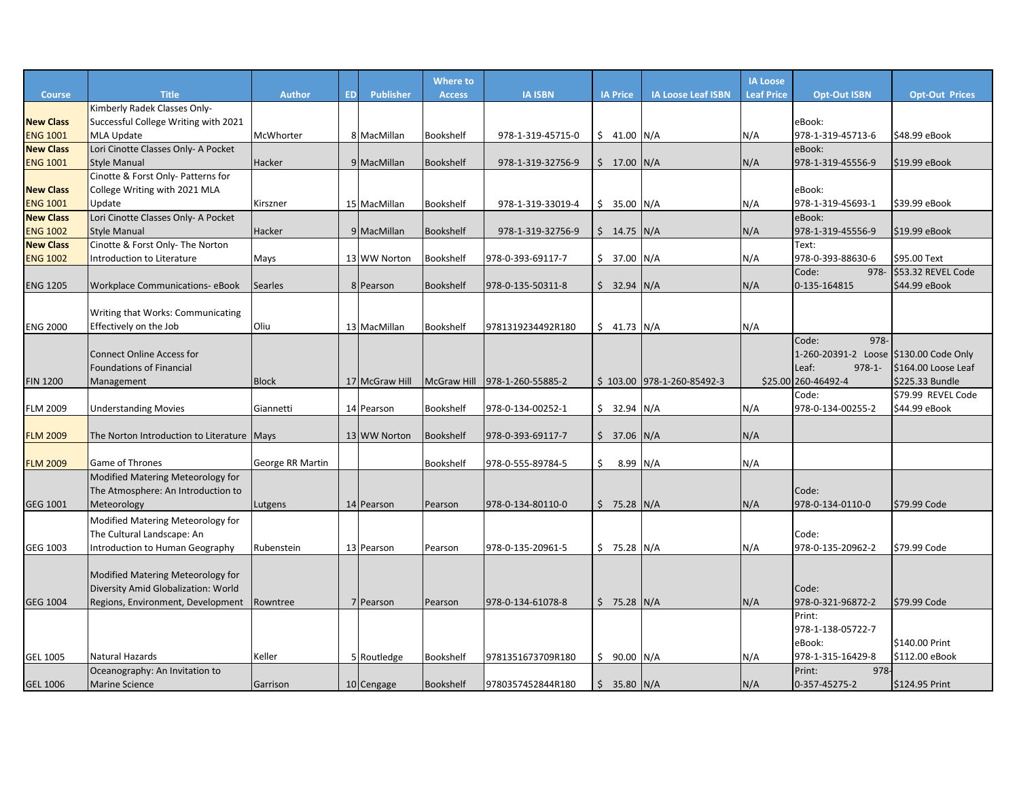|                  |                                            |                  |           |                  | <b>Where to</b>  |                                 |                 |                            | <b>IA Loose</b>   |                                        |                       |
|------------------|--------------------------------------------|------------------|-----------|------------------|------------------|---------------------------------|-----------------|----------------------------|-------------------|----------------------------------------|-----------------------|
| <b>Course</b>    | <b>Title</b>                               | <b>Author</b>    | <b>ED</b> | <b>Publisher</b> | <b>Access</b>    | <b>IA ISBN</b>                  | <b>IA Price</b> | <b>IA Loose Leaf ISBN</b>  | <b>Leaf Price</b> | <b>Opt-Out ISBN</b>                    | <b>Opt-Out Prices</b> |
|                  | Kimberly Radek Classes Only-               |                  |           |                  |                  |                                 |                 |                            |                   |                                        |                       |
| <b>New Class</b> | Successful College Writing with 2021       |                  |           |                  |                  |                                 |                 |                            |                   | eBook:                                 |                       |
| <b>ENG 1001</b>  | MLA Update                                 | McWhorter        |           | 8 MacMillan      | Bookshelf        | 978-1-319-45715-0               | $$41.00$ N/A    |                            | N/A               | 978-1-319-45713-6                      | \$48.99 eBook         |
| <b>New Class</b> | Lori Cinotte Classes Only- A Pocket        |                  |           |                  |                  |                                 |                 |                            |                   | eBook:                                 |                       |
| <b>ENG 1001</b>  | <b>Style Manual</b>                        | Hacker           |           | 9 MacMillan      | Bookshelf        | 978-1-319-32756-9               | $$17.00$ N/A    |                            | N/A               | 978-1-319-45556-9                      | \$19.99 eBook         |
|                  | Cinotte & Forst Only- Patterns for         |                  |           |                  |                  |                                 |                 |                            |                   |                                        |                       |
| <b>New Class</b> | College Writing with 2021 MLA              |                  |           |                  |                  |                                 |                 |                            |                   | eBook:                                 |                       |
| <b>ENG 1001</b>  | Update                                     | Kirszner         |           | 15 MacMillan     | Bookshelf        | 978-1-319-33019-4               | $$35.00$ N/A    |                            | N/A               | 978-1-319-45693-1                      | \$39.99 eBook         |
| <b>New Class</b> | Lori Cinotte Classes Only- A Pocket        |                  |           |                  |                  |                                 |                 |                            |                   | eBook:                                 |                       |
| <b>ENG 1002</b>  | <b>Style Manual</b>                        | Hacker           |           | 9 MacMillan      | Bookshelf        | 978-1-319-32756-9               | $$14.75$ N/A    |                            | N/A               | 978-1-319-45556-9                      | \$19.99 eBook         |
| <b>New Class</b> | Cinotte & Forst Only- The Norton           |                  |           |                  |                  |                                 |                 |                            |                   | Text:<br>978-0-393-88630-6             | \$95.00 Text          |
| <b>ENG 1002</b>  | Introduction to Literature                 | Mays             |           | 13 WW Norton     | Bookshelf        | 978-0-393-69117-7               | \$37.00 N/A     |                            | N/A               | Code:<br>978-                          | S53.32 REVEL Code     |
| <b>ENG 1205</b>  | <b>Workplace Communications- eBook</b>     | Searles          |           | 8 Pearson        | <b>Bookshelf</b> | 978-0-135-50311-8               | $$32.94$ N/A    |                            | N/A               | 0-135-164815                           | \$44.99 eBook         |
|                  |                                            |                  |           |                  |                  |                                 |                 |                            |                   |                                        |                       |
|                  | Writing that Works: Communicating          |                  |           |                  |                  |                                 |                 |                            |                   |                                        |                       |
| <b>ENG 2000</b>  | Effectively on the Job                     | Oliu             |           | 13 MacMillan     | Bookshelf        | 9781319234492R180               | $$41.73$ N/A    |                            | N/A               |                                        |                       |
|                  |                                            |                  |           |                  |                  |                                 |                 |                            |                   | 978-<br>Code:                          |                       |
|                  | <b>Connect Online Access for</b>           |                  |           |                  |                  |                                 |                 |                            |                   | 1-260-20391-2 Loose \$130.00 Code Only |                       |
|                  | <b>Foundations of Financial</b>            |                  |           |                  |                  |                                 |                 |                            |                   | Leaf:<br>$978 - 1 -$                   | \$164.00 Loose Leaf   |
| <b>FIN 1200</b>  | Management                                 | <b>Block</b>     |           | 17 McGraw Hill   |                  | McGraw Hill   978-1-260-55885-2 |                 | \$103.00 978-1-260-85492-3 |                   | \$25.00 260-46492-4                    | \$225.33 Bundle       |
|                  |                                            |                  |           |                  |                  |                                 |                 |                            |                   | Code:                                  | \$79.99 REVEL Code    |
| <b>FLM 2009</b>  | <b>Understanding Movies</b>                | Giannetti        |           | 14 Pearson       | Bookshelf        | 978-0-134-00252-1               | $$32.94$ N/A    |                            | N/A               | 978-0-134-00255-2                      | \$44.99 eBook         |
|                  |                                            |                  |           |                  |                  |                                 |                 |                            |                   |                                        |                       |
| <b>FLM 2009</b>  | The Norton Introduction to Literature Mays |                  |           | 13 WW Norton     | Bookshelf        | 978-0-393-69117-7               | $$37.06$ N/A    |                            | N/A               |                                        |                       |
|                  |                                            |                  |           |                  |                  |                                 |                 |                            |                   |                                        |                       |
| <b>FLM 2009</b>  | Game of Thrones                            | George RR Martin |           |                  | Bookshelf        | 978-0-555-89784-5               | \$<br>8.99 N/A  |                            | N/A               |                                        |                       |
|                  | Modified Matering Meteorology for          |                  |           |                  |                  |                                 |                 |                            |                   |                                        |                       |
|                  | The Atmosphere: An Introduction to         |                  |           |                  |                  |                                 |                 |                            |                   | Code:                                  |                       |
| GEG 1001         | Meteorology                                | Lutgens          |           | 14 Pearson       | Pearson          | 978-0-134-80110-0               | $$75.28$ N/A    |                            | N/A               | 978-0-134-0110-0                       | \$79.99 Code          |
|                  | Modified Matering Meteorology for          |                  |           |                  |                  |                                 |                 |                            |                   |                                        |                       |
|                  | The Cultural Landscape: An                 |                  |           |                  |                  |                                 |                 |                            |                   | Code:                                  |                       |
| GEG 1003         | Introduction to Human Geography            | Rubenstein       |           | 13 Pearson       | Pearson          | 978-0-135-20961-5               | $$75.28$ N/A    |                            | N/A               | 978-0-135-20962-2                      | \$79.99 Code          |
|                  |                                            |                  |           |                  |                  |                                 |                 |                            |                   |                                        |                       |
|                  | Modified Matering Meteorology for          |                  |           |                  |                  |                                 |                 |                            |                   |                                        |                       |
|                  | Diversity Amid Globalization: World        |                  |           |                  |                  |                                 |                 |                            |                   | Code:                                  |                       |
| GEG 1004         | Regions, Environment, Development          | Rowntree         |           | 7 Pearson        | Pearson          | 978-0-134-61078-8               | $$75.28$ N/A    |                            | N/A               | 978-0-321-96872-2                      | \$79.99 Code          |
|                  |                                            |                  |           |                  |                  |                                 |                 |                            |                   | Print:                                 |                       |
|                  |                                            |                  |           |                  |                  |                                 |                 |                            |                   | 978-1-138-05722-7                      |                       |
|                  |                                            |                  |           |                  |                  |                                 |                 |                            |                   | eBook:                                 | \$140.00 Print        |
| <b>GEL 1005</b>  | Natural Hazards                            | Keller           |           | 5 Routledge      | Bookshelf        | 9781351673709R180               | \$90.00 N/A     |                            | N/A               | 978-1-315-16429-8                      | \$112.00 eBook        |
|                  | Oceanography: An Invitation to             |                  |           |                  |                  |                                 |                 |                            |                   | 978-<br>Print:                         |                       |
| <b>GEL 1006</b>  | <b>Marine Science</b>                      | Garrison         |           | 10 Cengage       | <b>Bookshelf</b> | 9780357452844R180               | $$35.80$ N/A    |                            | N/A               | 0-357-45275-2                          | \$124.95 Print        |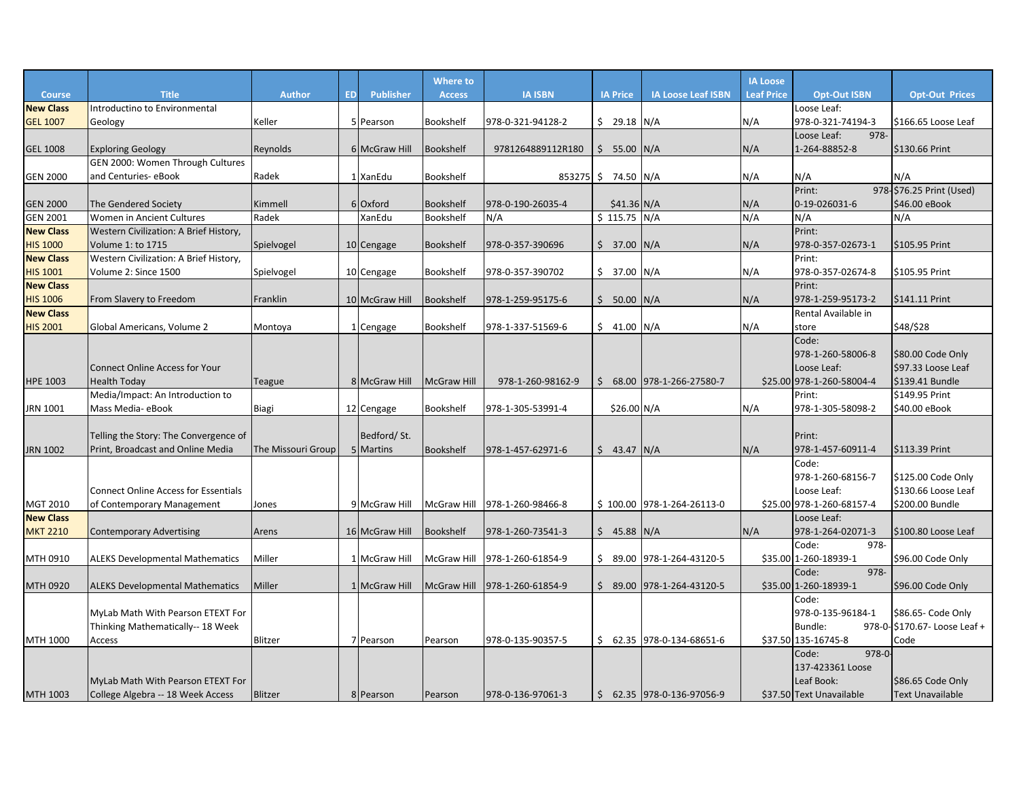|                  |                                             |                    |           |                  | Where to           |                    |                 |                            | <b>IA Loose</b>   |                           |                               |
|------------------|---------------------------------------------|--------------------|-----------|------------------|--------------------|--------------------|-----------------|----------------------------|-------------------|---------------------------|-------------------------------|
| <b>Course</b>    | <b>Title</b>                                | Author             | <b>ED</b> | <b>Publisher</b> | <b>Access</b>      | <b>IA ISBN</b>     | <b>IA Price</b> | <b>IA Loose Leaf ISBN</b>  | <b>Leaf Price</b> | <b>Opt-Out ISBN</b>       | <b>Opt-Out Prices</b>         |
| <b>New Class</b> | Introductino to Environmental               |                    |           |                  |                    |                    |                 |                            |                   | Loose Leaf:               |                               |
| <b>GEL 1007</b>  | Geology                                     | Keller             |           | 5 Pearson        | Bookshelf          | 978-0-321-94128-2  | $$29.18$ N/A    |                            | N/A               | 978-0-321-74194-3         | \$166.65 Loose Leaf           |
|                  |                                             |                    |           |                  |                    |                    |                 |                            |                   | 978-<br>Loose Leaf:       |                               |
| <b>GEL 1008</b>  | <b>Exploring Geology</b>                    | Reynolds           |           | 6 McGraw Hill    | <b>Bookshelf</b>   | 9781264889112R180  | $$55.00$ N/A    |                            | N/A               | 1-264-88852-8             | \$130.66 Print                |
|                  | GEN 2000: Women Through Cultures            |                    |           |                  |                    |                    |                 |                            |                   |                           |                               |
| <b>GEN 2000</b>  | and Centuries- eBook                        | Radek              |           | 1 XanEdu         | <b>Bookshelf</b>   | 853275 \$74.50 N/A |                 |                            | N/A               | N/A                       | N/A                           |
|                  |                                             |                    |           |                  |                    |                    |                 |                            |                   | Print:                    | 978-\$76.25 Print (Used)      |
| <b>GEN 2000</b>  | <b>The Gendered Society</b>                 | Kimmell            |           | 6 Oxford         | <b>Bookshelf</b>   | 978-0-190-26035-4  | $$41.36$ N/A    |                            | N/A               | 0-19-026031-6             | \$46.00 eBook                 |
| <b>GEN 2001</b>  | Women in Ancient Cultures                   | Radek              |           | XanEdu           | Bookshelf          | N/A                | $$115.75$ N/A   |                            | N/A               | N/A                       | N/A                           |
| <b>New Class</b> | Western Civilization: A Brief History,      |                    |           |                  |                    |                    |                 |                            |                   | Print:                    |                               |
| <b>HIS 1000</b>  | Volume 1: to 1715                           | Spielvogel         |           | 10 Cengage       | Bookshelf          | 978-0-357-390696   | \$37.00         | N/A                        | N/A               | 978-0-357-02673-1         | \$105.95 Print                |
| <b>New Class</b> | Western Civilization: A Brief History,      |                    |           |                  |                    |                    |                 |                            |                   | Print:                    |                               |
| <b>HIS 1001</b>  | Volume 2: Since 1500                        | Spielvogel         |           | 10 Cengage       | Bookshelf          | 978-0-357-390702   | \$37.00 N/A     |                            | N/A               | 978-0-357-02674-8         | \$105.95 Print                |
| <b>New Class</b> |                                             |                    |           |                  |                    |                    |                 |                            |                   | Print:                    |                               |
| <b>HIS 1006</b>  | From Slavery to Freedom                     | Franklin           |           | 10 McGraw Hill   | <b>Bookshelf</b>   | 978-1-259-95175-6  | \$50.00         | N/A                        | N/A               | 978-1-259-95173-2         | $$141.11$ Print               |
| <b>New Class</b> |                                             |                    |           |                  |                    |                    |                 |                            |                   | Rental Available in       |                               |
| <b>HIS 2001</b>  | Global Americans, Volume 2                  | Montoya            |           | 1 Cengage        | <b>Bookshelf</b>   | 978-1-337-51569-6  | \$41.00         | N/A                        | N/A               | store                     | \$48/\$28                     |
|                  |                                             |                    |           |                  |                    |                    |                 |                            |                   | Code:                     |                               |
|                  |                                             |                    |           |                  |                    |                    |                 |                            |                   | 978-1-260-58006-8         | \$80.00 Code Only             |
|                  | <b>Connect Online Access for Your</b>       |                    |           |                  |                    |                    |                 |                            |                   | Loose Leaf:               | \$97.33 Loose Leaf            |
| HPE 1003         | <b>Health Today</b>                         | Teague             |           | 8 McGraw Hill    | <b>McGraw Hill</b> | 978-1-260-98162-9  | \$              | 68.00 978-1-266-27580-7    |                   | \$25.00 978-1-260-58004-4 | \$139.41 Bundle               |
|                  | Media/Impact: An Introduction to            |                    |           |                  |                    |                    |                 |                            |                   | Print:                    | \$149.95 Print                |
| JRN 1001         | Mass Media-eBook                            | Biagi              |           | 12 Cengage       | Bookshelf          | 978-1-305-53991-4  | \$26.00 N/A     |                            | N/A               | 978-1-305-58098-2         | \$40.00 eBook                 |
|                  |                                             |                    |           |                  |                    |                    |                 |                            |                   |                           |                               |
|                  | Telling the Story: The Convergence of       |                    |           | Bedford/St.      |                    |                    |                 |                            |                   | Print:                    |                               |
| <b>JRN 1002</b>  | Print, Broadcast and Online Media           | The Missouri Group |           | 5 Martins        | <b>Bookshelf</b>   | 978-1-457-62971-6  | \$ 43.47 N/A    |                            | N/A               | 978-1-457-60911-4         | \$113.39 Print                |
|                  |                                             |                    |           |                  |                    |                    |                 |                            |                   | Code:                     |                               |
|                  |                                             |                    |           |                  |                    |                    |                 |                            |                   | 978-1-260-68156-7         | \$125.00 Code Only            |
|                  | <b>Connect Online Access for Essentials</b> |                    |           |                  |                    |                    |                 |                            |                   | Loose Leaf:               | \$130.66 Loose Leaf           |
| MGT 2010         | of Contemporary Management                  | Jones              |           | 9 McGraw Hill    | <b>McGraw Hill</b> | 978-1-260-98466-8  |                 | \$100.00 978-1-264-26113-0 |                   | \$25.00 978-1-260-68157-4 | \$200.00 Bundle               |
| <b>New Class</b> |                                             |                    |           |                  |                    |                    |                 |                            |                   | Loose Leaf:               |                               |
| <b>MKT 2210</b>  | <b>Contemporary Advertising</b>             | Arens              |           | 16 McGraw Hill   | <b>Bookshelf</b>   | 978-1-260-73541-3  | $$45.88$ N/A    |                            | N/A               | 978-1-264-02071-3         | \$100.80 Loose Leaf           |
|                  |                                             |                    |           |                  |                    |                    |                 |                            |                   | 978-<br>Code:             |                               |
| MTH 0910         | <b>ALEKS Developmental Mathematics</b>      | Miller             |           | 1 McGraw Hill    | McGraw Hill        | 978-1-260-61854-9  |                 | $$89.00$ 978-1-264-43120-5 |                   | \$35.00 1-260-18939-1     | \$96.00 Code Only             |
|                  |                                             |                    |           |                  |                    |                    |                 |                            |                   | 978-<br>Code:             |                               |
| MTH 0920         | <b>ALEKS Developmental Mathematics</b>      | Miller             |           | 1 McGraw Hill    | <b>McGraw Hill</b> | 978-1-260-61854-9  | \$89.00         | 978-1-264-43120-5          |                   | \$35.00 1-260-18939-1     | \$96.00 Code Only             |
|                  |                                             |                    |           |                  |                    |                    |                 |                            |                   | Code:                     |                               |
|                  | MyLab Math With Pearson ETEXT For           |                    |           |                  |                    |                    |                 |                            |                   | 978-0-135-96184-1         | \$86.65- Code Only            |
|                  | Thinking Mathematically-- 18 Week           |                    |           |                  |                    |                    |                 |                            |                   | Bundle:                   | 978-0- \$170.67- Loose Leaf + |
| MTH 1000         | Access                                      | Blitzer            |           | 7 Pearson        | Pearson            | 978-0-135-90357-5  |                 | $$62.35$ 978-0-134-68651-6 |                   | \$37.50 135-16745-8       | Code                          |
|                  |                                             |                    |           |                  |                    |                    |                 |                            |                   | $978 - 0$<br>Code:        |                               |
|                  |                                             |                    |           |                  |                    |                    |                 |                            |                   | 137-423361 Loose          |                               |
|                  | MyLab Math With Pearson ETEXT For           |                    |           |                  |                    |                    |                 |                            |                   | Leaf Book:                | \$86.65 Code Only             |
| MTH 1003         | College Algebra -- 18 Week Access           | <b>Blitzer</b>     |           | 8 Pearson        | Pearson            | 978-0-136-97061-3  |                 | $$62.35$ 978-0-136-97056-9 |                   | \$37.50 Text Unavailable  | <b>Text Unavailable</b>       |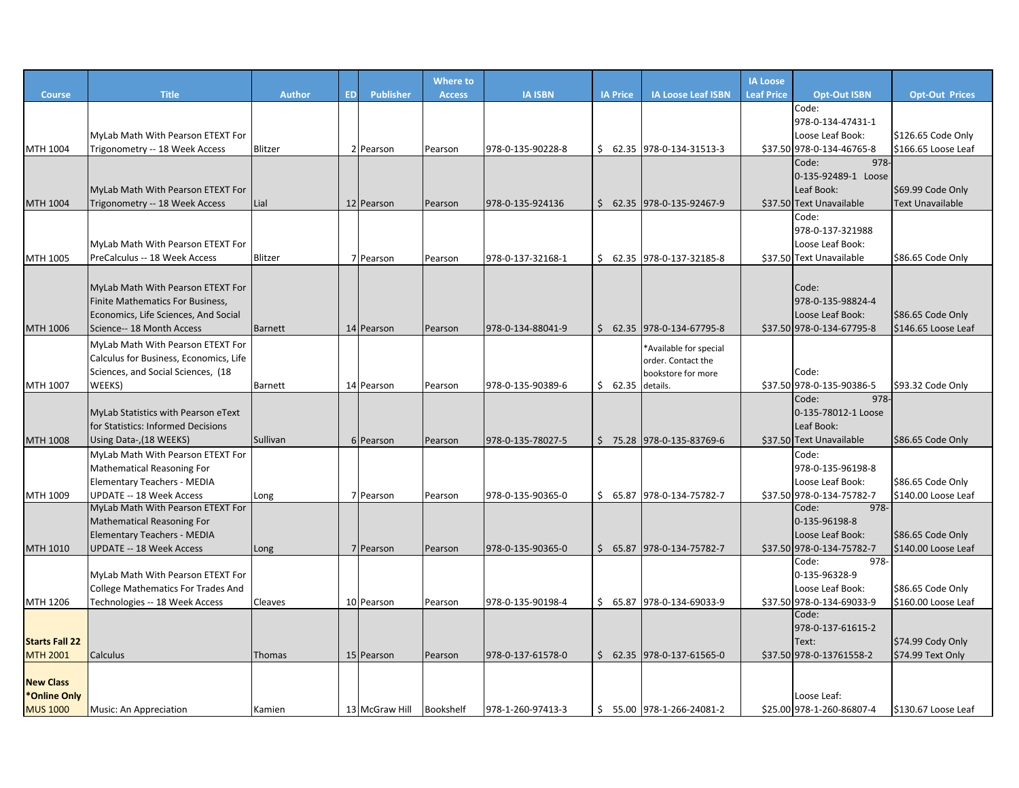|                       |                                                                       |                |           |                  | Where to         |                   |                 |                            | <b>IA Loose</b>   |                                    |                                          |
|-----------------------|-----------------------------------------------------------------------|----------------|-----------|------------------|------------------|-------------------|-----------------|----------------------------|-------------------|------------------------------------|------------------------------------------|
| <b>Course</b>         | <b>Title</b>                                                          | <b>Author</b>  | <b>ED</b> | <b>Publisher</b> | <b>Access</b>    | <b>IA ISBN</b>    | <b>IA Price</b> | <b>IA Loose Leaf ISBN</b>  | <b>Leaf Price</b> | <b>Opt-Out ISBN</b>                | <b>Opt-Out Prices</b>                    |
|                       |                                                                       |                |           |                  |                  |                   |                 |                            |                   | Code:                              |                                          |
|                       |                                                                       |                |           |                  |                  |                   |                 |                            |                   | 978-0-134-47431-1                  |                                          |
|                       | MyLab Math With Pearson ETEXT For                                     |                |           |                  |                  |                   |                 |                            |                   | Loose Leaf Book:                   | \$126.65 Code Only                       |
| MTH 1004              | Trigonometry -- 18 Week Access                                        | Blitzer        |           | 2 Pearson        | Pearson          | 978-0-135-90228-8 |                 | $$62.35$ 978-0-134-31513-3 |                   | \$37.50 978-0-134-46765-8          | \$166.65 Loose Leaf                      |
|                       |                                                                       |                |           |                  |                  |                   |                 |                            |                   | 978-<br>Code:                      |                                          |
|                       |                                                                       |                |           |                  |                  |                   |                 |                            |                   | 0-135-92489-1 Loose                |                                          |
|                       | MyLab Math With Pearson ETEXT For                                     |                |           |                  |                  |                   |                 |                            |                   | Leaf Book:                         | \$69.99 Code Only                        |
| MTH 1004              | Trigonometry -- 18 Week Access                                        | Lial           |           | 12 Pearson       | Pearson          | 978-0-135-924136  |                 | \$ 62.35 978-0-135-92467-9 |                   | \$37.50 Text Unavailable           | <b>Text Unavailable</b>                  |
|                       |                                                                       |                |           |                  |                  |                   |                 |                            |                   | Code:<br>978-0-137-321988          |                                          |
|                       | MyLab Math With Pearson ETEXT For                                     |                |           |                  |                  |                   |                 |                            |                   | Loose Leaf Book:                   |                                          |
| MTH 1005              | PreCalculus -- 18 Week Access                                         | <b>Blitzer</b> |           | 7 Pearson        | Pearson          | 978-0-137-32168-1 |                 | $$62.35$ 978-0-137-32185-8 |                   | \$37.50 Text Unavailable           | \$86.65 Code Only                        |
|                       |                                                                       |                |           |                  |                  |                   |                 |                            |                   |                                    |                                          |
|                       |                                                                       |                |           |                  |                  |                   |                 |                            |                   |                                    |                                          |
|                       | MyLab Math With Pearson ETEXT For<br>Finite Mathematics For Business, |                |           |                  |                  |                   |                 |                            |                   | Code:<br>978-0-135-98824-4         |                                          |
|                       | Economics, Life Sciences, And Social                                  |                |           |                  |                  |                   |                 |                            |                   | Loose Leaf Book:                   |                                          |
| MTH 1006              | Science-- 18 Month Access                                             | <b>Barnett</b> |           | 14 Pearson       | Pearson          | 978-0-134-88041-9 |                 | $$62.35$ 978-0-134-67795-8 |                   | \$37.50 978-0-134-67795-8          | \$86.65 Code Only<br>\$146.65 Loose Leaf |
|                       |                                                                       |                |           |                  |                  |                   |                 |                            |                   |                                    |                                          |
|                       | MyLab Math With Pearson ETEXT For                                     |                |           |                  |                  |                   |                 | *Available for special     |                   |                                    |                                          |
|                       | Calculus for Business, Economics, Life                                |                |           |                  |                  |                   |                 | order. Contact the         |                   |                                    |                                          |
|                       | Sciences, and Social Sciences, (18<br>WEEKS)                          |                |           |                  |                  | 978-0-135-90389-6 |                 | bookstore for more         |                   | Code:<br>\$37.50 978-0-135-90386-5 |                                          |
| MTH 1007              |                                                                       | <b>Barnett</b> |           | 14 Pearson       | Pearson          |                   | \$62.35         | details.                   |                   | 978-<br>Code:                      | \$93.32 Code Only                        |
|                       | MyLab Statistics with Pearson eText                                   |                |           |                  |                  |                   |                 |                            |                   | 0-135-78012-1 Loose                |                                          |
|                       | for Statistics: Informed Decisions                                    |                |           |                  |                  |                   |                 |                            |                   | Leaf Book:                         |                                          |
| MTH 1008              | Using Data-, (18 WEEKS)                                               | Sullivan       |           | 6 Pearson        | Pearson          | 978-0-135-78027-5 |                 | $$75.28$ 978-0-135-83769-6 |                   | \$37.50 Text Unavailable           | \$86.65 Code Only                        |
|                       | MyLab Math With Pearson ETEXT For                                     |                |           |                  |                  |                   |                 |                            |                   | Code:                              |                                          |
|                       | <b>Mathematical Reasoning For</b>                                     |                |           |                  |                  |                   |                 |                            |                   | 978-0-135-96198-8                  |                                          |
|                       | Elementary Teachers - MEDIA                                           |                |           |                  |                  |                   |                 |                            |                   | Loose Leaf Book:                   | \$86.65 Code Only                        |
| MTH 1009              | <b>UPDATE -- 18 Week Access</b>                                       | Long           |           | 7 Pearson        | Pearson          | 978-0-135-90365-0 |                 | $$65.87$ 978-0-134-75782-7 |                   | \$37.50 978-0-134-75782-7          | \$140.00 Loose Leaf                      |
|                       | MyLab Math With Pearson ETEXT For                                     |                |           |                  |                  |                   |                 |                            |                   | 978-<br>Code:                      |                                          |
|                       | Mathematical Reasoning For                                            |                |           |                  |                  |                   |                 |                            |                   | 0-135-96198-8                      |                                          |
|                       | Elementary Teachers - MEDIA                                           |                |           |                  |                  |                   |                 |                            |                   | Loose Leaf Book:                   | \$86.65 Code Only                        |
| MTH 1010              | <b>UPDATE -- 18 Week Access</b>                                       | Long           |           | 7 Pearson        | Pearson          | 978-0-135-90365-0 |                 | $$65.87$ 978-0-134-75782-7 |                   | \$37.50 978-0-134-75782-7          | \$140.00 Loose Leaf                      |
|                       |                                                                       |                |           |                  |                  |                   |                 |                            |                   | 978-<br>Code:                      |                                          |
|                       | MyLab Math With Pearson ETEXT For                                     |                |           |                  |                  |                   |                 |                            |                   | 0-135-96328-9                      |                                          |
|                       | <b>College Mathematics For Trades And</b>                             |                |           |                  |                  |                   |                 |                            |                   | Loose Leaf Book:                   | \$86.65 Code Only                        |
| MTH 1206              | Technologies -- 18 Week Access                                        | Cleaves        |           | 10 Pearson       | Pearson          | 978-0-135-90198-4 |                 | \$65.87 978-0-134-69033-9  |                   | \$37.50 978-0-134-69033-9          | \$160.00 Loose Leaf                      |
|                       |                                                                       |                |           |                  |                  |                   |                 |                            |                   | Code:                              |                                          |
|                       |                                                                       |                |           |                  |                  |                   |                 |                            |                   | 978-0-137-61615-2                  |                                          |
| <b>Starts Fall 22</b> |                                                                       |                |           |                  |                  |                   |                 |                            |                   | Text:                              | \$74.99 Cody Only                        |
| <b>MTH 2001</b>       | Calculus                                                              | Thomas         |           | 15 Pearson       | Pearson          | 978-0-137-61578-0 |                 | $$62.35$ 978-0-137-61565-0 |                   | \$37.50 978-0-13761558-2           | \$74.99 Text Only                        |
|                       |                                                                       |                |           |                  |                  |                   |                 |                            |                   |                                    |                                          |
| <b>New Class</b>      |                                                                       |                |           |                  |                  |                   |                 |                            |                   |                                    |                                          |
| *Online Only          |                                                                       |                |           |                  |                  |                   |                 |                            |                   | Loose Leaf:                        |                                          |
| <b>MUS 1000</b>       | Music: An Appreciation                                                | Kamien         |           | 13 McGraw Hill   | <b>Bookshelf</b> | 978-1-260-97413-3 |                 | $$55.00$ 978-1-266-24081-2 |                   | \$25.00 978-1-260-86807-4          | \$130.67 Loose Leaf                      |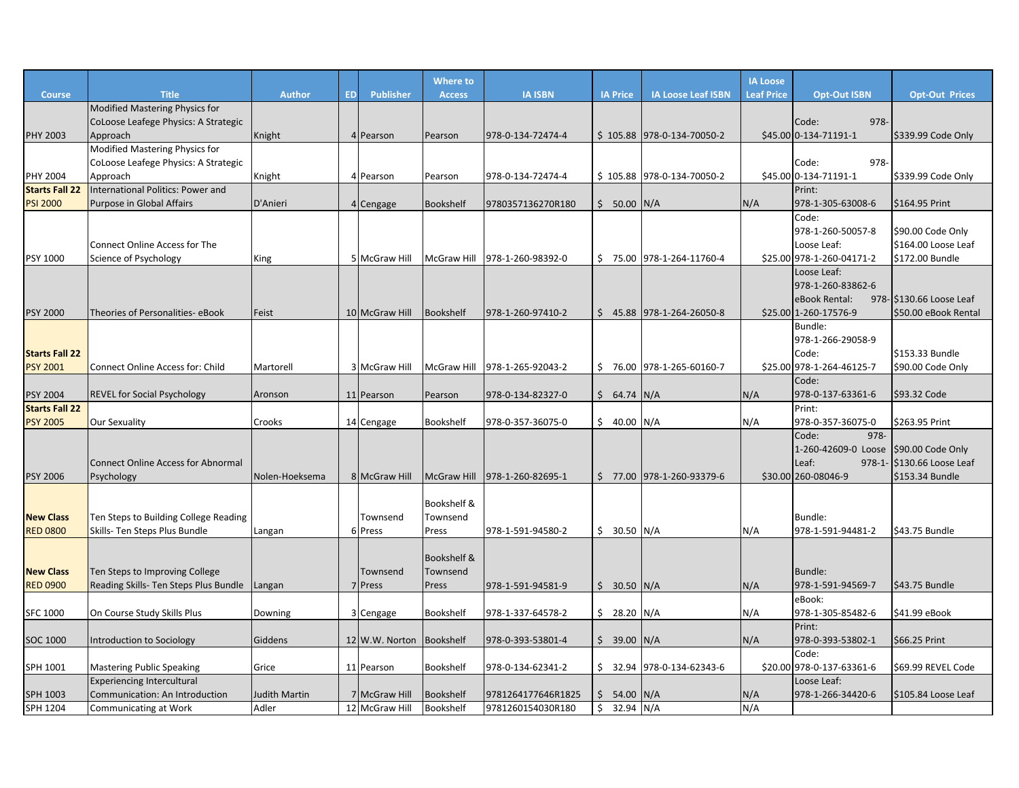|                                          |                                                                                    |                      |           |                          | <b>Where to</b>                             |                               |                 |                             | <b>IA Loose</b>   |                                                                                        |                                                             |
|------------------------------------------|------------------------------------------------------------------------------------|----------------------|-----------|--------------------------|---------------------------------------------|-------------------------------|-----------------|-----------------------------|-------------------|----------------------------------------------------------------------------------------|-------------------------------------------------------------|
| <b>Course</b>                            | <b>Title</b>                                                                       | <b>Author</b>        | <b>ED</b> | Publisher                | <b>Access</b>                               | <b>IA ISBN</b>                | <b>IA Price</b> | <b>IA Loose Leaf ISBN</b>   | <b>Leaf Price</b> | <b>Opt-Out ISBN</b>                                                                    | <b>Opt-Out Prices</b>                                       |
| <b>PHY 2003</b>                          | Modified Mastering Physics for<br>CoLoose Leafege Physics: A Strategic<br>Approach | Knight               |           | 4 Pearson                | Pearson                                     | 978-0-134-72474-4             |                 | $$105.88$ 978-0-134-70050-2 |                   | 978-<br>Code:<br>\$45.00 0-134-71191-1                                                 | \$339.99 Code Only                                          |
| <b>PHY 2004</b>                          | Modified Mastering Physics for<br>CoLoose Leafege Physics: A Strategic<br>Approach | Knight               |           | 4 Pearson                | Pearson                                     | 978-0-134-72474-4             |                 | \$105.88 978-0-134-70050-2  |                   | 978-<br>Code:<br>\$45.00 0-134-71191-1                                                 | \$339.99 Code Only                                          |
| <b>Starts Fall 22</b>                    | International Politics: Power and                                                  |                      |           |                          |                                             |                               |                 |                             |                   | Print:                                                                                 |                                                             |
| <b>PSI 2000</b>                          | Purpose in Global Affairs                                                          | D'Anieri             |           | 4 Cengage                | <b>Bookshelf</b>                            | 9780357136270R180             | $$50.00$ N/A    |                             | N/A               | 978-1-305-63008-6                                                                      | \$164.95 Print                                              |
| PSY 1000                                 | Connect Online Access for The<br>Science of Psychology                             | King                 |           | 5 McGraw Hill            |                                             | McGraw Hill 978-1-260-98392-0 |                 | \$75.00 978-1-264-11760-4   |                   | Code:<br>978-1-260-50057-8<br>Loose Leaf:<br>\$25.00 978-1-260-04171-2                 | \$90.00 Code Only<br>\$164.00 Loose Leaf<br>\$172.00 Bundle |
| <b>PSY 2000</b>                          | Theories of Personalities- eBook                                                   | Feist                |           | 10 McGraw Hill           | <b>Bookshelf</b>                            | 978-1-260-97410-2             |                 | $$45.88$ 978-1-264-26050-8  |                   | Loose Leaf:<br>978-1-260-83862-6<br>eBook Rental:<br>\$25.00 1-260-17576-9             | 978- \$130.66 Loose Leaf<br>\$50.00 eBook Rental            |
| <b>Starts Fall 22</b><br><b>PSY 2001</b> | <b>Connect Online Access for: Child</b>                                            | Martorell            |           | 3 McGraw Hill            | <b>McGraw Hill</b>                          | 978-1-265-92043-2             |                 | \$76.00 978-1-265-60160-7   |                   | Bundle:<br>978-1-266-29058-9<br>Code:<br>\$25.00 978-1-264-46125-7                     | \$153.33 Bundle<br>\$90.00 Code Only                        |
| <b>PSY 2004</b>                          | <b>REVEL for Social Psychology</b>                                                 | Aronson              |           | 11 Pearson               | Pearson                                     | 978-0-134-82327-0             | \$64.74         | N/A                         | N/A               | Code:<br>978-0-137-63361-6                                                             | \$93.32 Code                                                |
| <b>Starts Fall 22</b>                    |                                                                                    |                      |           |                          |                                             |                               |                 |                             |                   | Print:                                                                                 |                                                             |
| <b>PSY 2005</b>                          | Our Sexuality                                                                      | Crooks               |           | 14 Cengage               | Bookshelf                                   | 978-0-357-36075-0             | \$40.00         | N/A                         | N/A               | 978-0-357-36075-0                                                                      | \$263.95 Print                                              |
| <b>PSY 2006</b>                          | <b>Connect Online Access for Abnormal</b><br>Psychology                            | Nolen-Hoeksema       |           | 8 McGraw Hill            | <b>McGraw Hill</b>                          | 978-1-260-82695-1             |                 | $$77.00$ 978-1-260-93379-6  |                   | Code:<br>978-<br>1-260-42609-0 Loose \$90.00 Code Only<br>Leaf:<br>\$30.00 260-08046-9 | 978-1- \$130.66 Loose Leaf<br>\$153.34 Bundle               |
| <b>New Class</b><br><b>RED 0800</b>      | Ten Steps to Building College Reading<br>Skills- Ten Steps Plus Bundle             | Langan               |           | Townsend<br>6 Press      | Bookshelf &<br>Townsend<br>Press            | 978-1-591-94580-2             | $$30.50$ N/A    |                             | N/A               | Bundle:<br>978-1-591-94481-2                                                           | \$43.75 Bundle                                              |
| <b>New Class</b><br><b>RED 0900</b>      | Ten Steps to Improving College<br>Reading Skills- Ten Steps Plus Bundle            | Langan               |           | Townsend<br>7 Press      | <b>Bookshelf &amp;</b><br>Townsend<br>Press | 978-1-591-94581-9             | \$30.50         | N/A                         | N/A               | <b>Bundle:</b><br>978-1-591-94569-7                                                    | \$43.75 Bundle                                              |
| <b>SFC 1000</b>                          | On Course Study Skills Plus                                                        | Downing              |           | 3 Cengage                | Bookshelf                                   | 978-1-337-64578-2             | \$28.20         | N/A                         | N/A               | eBook:<br>978-1-305-85482-6                                                            | \$41.99 eBook                                               |
|                                          |                                                                                    |                      |           |                          |                                             |                               |                 |                             |                   | Print:                                                                                 |                                                             |
| <b>SOC 1000</b>                          | Introduction to Sociology                                                          | Giddens              |           | 12 W.W. Norton Bookshelf |                                             | 978-0-393-53801-4             | \$39.00         | N/A                         | N/A               | 978-0-393-53802-1                                                                      | \$66.25 Print                                               |
|                                          |                                                                                    |                      |           |                          |                                             |                               |                 |                             |                   | Code:                                                                                  |                                                             |
| SPH 1001                                 | <b>Mastering Public Speaking</b>                                                   | Grice                |           | 11 Pearson               | Bookshelf                                   | 978-0-134-62341-2             | \$32.94         | 978-0-134-62343-6           |                   | \$20.00 978-0-137-63361-6                                                              | \$69.99 REVEL Code                                          |
|                                          | <b>Experiencing Intercultural</b>                                                  |                      |           |                          |                                             |                               |                 |                             |                   | Loose Leaf:                                                                            |                                                             |
| SPH 1003                                 | Communication: An Introduction                                                     | <b>Judith Martin</b> |           | 7 McGraw Hill            | <b>Bookshelf</b>                            | 9781264177646R1825            | \$54.00         | N/A                         | N/A               | 978-1-266-34420-6                                                                      | \$105.84 Loose Leaf                                         |
| SPH 1204                                 | Communicating at Work                                                              | Adler                |           | 12 McGraw Hill           | Bookshelf                                   | 9781260154030R180             | \$<br>32.94     | N/A                         | N/A               |                                                                                        |                                                             |